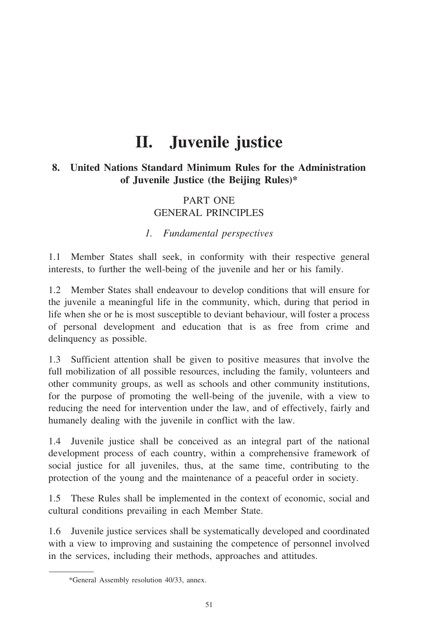# **II. Juvenile justice**

# **8. United Nations Standard Minimum Rules for the Administration of Juvenile Justice (the Beijing Rules)\***

# PART ONE GENERAL PRINCIPLES

# *1. Fundamental perspectives*

1.1 Member States shall seek, in conformity with their respective general interests, to further the well-being of the juvenile and her or his family.

1.2 Member States shall endeavour to develop conditions that will ensure for the juvenile a meaningful life in the community, which, during that period in life when she or he is most susceptible to deviant behaviour, will foster a process of personal development and education that is as free from crime and delinquency as possible.

1.3 Sufficient attention shall be given to positive measures that involve the full mobilization of all possible resources, including the family, volunteers and other community groups, as well as schools and other community institutions, for the purpose of promoting the well-being of the juvenile, with a view to reducing the need for intervention under the law, and of effectively, fairly and humanely dealing with the juvenile in conflict with the law.

1.4 Juvenile justice shall be conceived as an integral part of the national development process of each country, within a comprehensive framework of social justice for all juveniles, thus, at the same time, contributing to the protection of the young and the maintenance of a peaceful order in society.

1.5 These Rules shall be implemented in the context of economic, social and cultural conditions prevailing in each Member State.

1.6 Juvenile justice services shall be systematically developed and coordinated with a view to improving and sustaining the competence of personnel involved in the services, including their methods, approaches and attitudes.

<sup>\*</sup>General Assembly resolution 40/33, annex.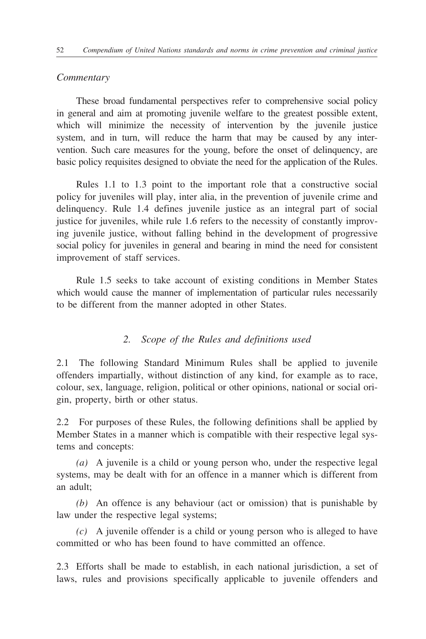### *Commentary*

These broad fundamental perspectives refer to comprehensive social policy in general and aim at promoting juvenile welfare to the greatest possible extent, which will minimize the necessity of intervention by the juvenile justice system, and in turn, will reduce the harm that may be caused by any intervention. Such care measures for the young, before the onset of delinquency, are basic policy requisites designed to obviate the need for the application of the Rules.

Rules 1.1 to 1.3 point to the important role that a constructive social policy for juveniles will play, inter alia, in the prevention of juvenile crime and delinquency. Rule 1.4 defines juvenile justice as an integral part of social justice for juveniles, while rule 1.6 refers to the necessity of constantly improving juvenile justice, without falling behind in the development of progressive social policy for juveniles in general and bearing in mind the need for consistent improvement of staff services.

Rule 1.5 seeks to take account of existing conditions in Member States which would cause the manner of implementation of particular rules necessarily to be different from the manner adopted in other States.

# *2. Scope of the Rules and definitions used*

2.1 The following Standard Minimum Rules shall be applied to juvenile offenders impartially, without distinction of any kind, for example as to race, colour, sex, language, religion, political or other opinions, national or social origin, property, birth or other status.

2.2 For purposes of these Rules, the following definitions shall be applied by Member States in a manner which is compatible with their respective legal systems and concepts:

*(a)* A juvenile is a child or young person who, under the respective legal systems, may be dealt with for an offence in a manner which is different from an adult;

*(b)* An offence is any behaviour (act or omission) that is punishable by law under the respective legal systems;

*(c)* A juvenile offender is a child or young person who is alleged to have committed or who has been found to have committed an offence.

2.3 Efforts shall be made to establish, in each national jurisdiction, a set of laws, rules and provisions specifically applicable to juvenile offenders and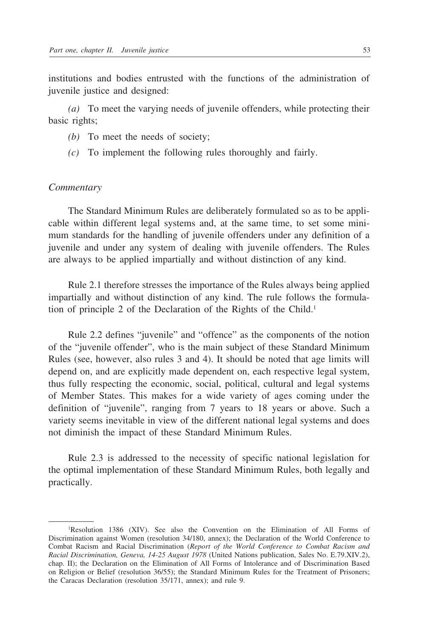institutions and bodies entrusted with the functions of the administration of juvenile justice and designed:

*(a)* To meet the varying needs of juvenile offenders, while protecting their basic rights;

- *(b)* To meet the needs of society;
- *(c)* To implement the following rules thoroughly and fairly.

#### *Commentary*

The Standard Minimum Rules are deliberately formulated so as to be applicable within different legal systems and, at the same time, to set some minimum standards for the handling of juvenile offenders under any definition of a juvenile and under any system of dealing with juvenile offenders. The Rules are always to be applied impartially and without distinction of any kind.

Rule 2.1 therefore stresses the importance of the Rules always being applied impartially and without distinction of any kind. The rule follows the formulation of principle 2 of the Declaration of the Rights of the Child.<sup>1</sup>

Rule 2.2 defines "juvenile" and "offence" as the components of the notion of the "juvenile offender", who is the main subject of these Standard Minimum Rules (see, however, also rules 3 and 4). It should be noted that age limits will depend on, and are explicitly made dependent on, each respective legal system, thus fully respecting the economic, social, political, cultural and legal systems of Member States. This makes for a wide variety of ages coming under the definition of "juvenile", ranging from 7 years to 18 years or above. Such a variety seems inevitable in view of the different national legal systems and does not diminish the impact of these Standard Minimum Rules.

Rule 2.3 is addressed to the necessity of specific national legislation for the optimal implementation of these Standard Minimum Rules, both legally and practically.

<sup>1</sup> Resolution 1386 (XIV). See also the Convention on the Elimination of All Forms of Discrimination against Women (resolution 34/180, annex); the Declaration of the World Conference to Combat Racism and Racial Discrimination (*Report of the World Conference to Combat Racism and Racial Discrimination, Geneva, 14-25 August 1978* (United Nations publication, Sales No. E.79.XIV.2), chap. II); the Declaration on the Elimination of All Forms of Intolerance and of Discrimination Based on Religion or Belief (resolution 36/55); the Standard Minimum Rules for the Treatment of Prisoners; the Caracas Declaration (resolution 35/171, annex); and rule 9.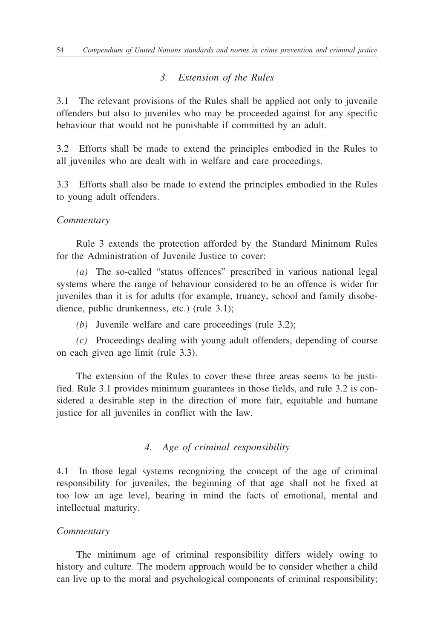### *3. Extension of the Rules*

3.1 The relevant provisions of the Rules shall be applied not only to juvenile offenders but also to juveniles who may be proceeded against for any specific behaviour that would not be punishable if committed by an adult.

3.2 Efforts shall be made to extend the principles embodied in the Rules to all juveniles who are dealt with in welfare and care proceedings.

3.3 Efforts shall also be made to extend the principles embodied in the Rules to young adult offenders.

### *Commentary*

Rule 3 extends the protection afforded by the Standard Minimum Rules for the Administration of Juvenile Justice to cover:

*(a)* The so-called "status offences" prescribed in various national legal systems where the range of behaviour considered to be an offence is wider for juveniles than it is for adults (for example, truancy, school and family disobedience, public drunkenness, etc.) (rule 3.1);

*(b)* Juvenile welfare and care proceedings (rule 3.2);

*(c)* Proceedings dealing with young adult offenders, depending of course on each given age limit (rule 3.3).

The extension of the Rules to cover these three areas seems to be justified. Rule 3.1 provides minimum guarantees in those fields, and rule 3.2 is considered a desirable step in the direction of more fair, equitable and humane justice for all juveniles in conflict with the law.

### *4. Age of criminal responsibility*

4.1 In those legal systems recognizing the concept of the age of criminal responsibility for juveniles, the beginning of that age shall not be fixed at too low an age level, bearing in mind the facts of emotional, mental and intellectual maturity.

### *Commentary*

The minimum age of criminal responsibility differs widely owing to history and culture. The modern approach would be to consider whether a child can live up to the moral and psychological components of criminal responsibility;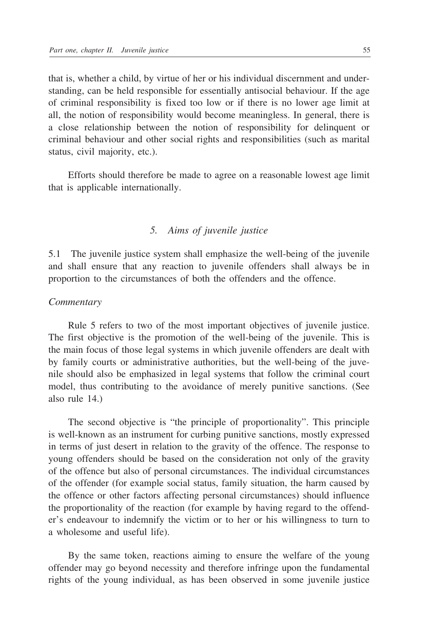that is, whether a child, by virtue of her or his individual discernment and understanding, can be held responsible for essentially antisocial behaviour. If the age of criminal responsibility is fixed too low or if there is no lower age limit at all, the notion of responsibility would become meaningless. In general, there is a close relationship between the notion of responsibility for delinquent or criminal behaviour and other social rights and responsibilities (such as marital status, civil majority, etc.).

Efforts should therefore be made to agree on a reasonable lowest age limit that is applicable internationally.

### *5. Aims of juvenile justice*

5.1 The juvenile justice system shall emphasize the well-being of the juvenile and shall ensure that any reaction to juvenile offenders shall always be in proportion to the circumstances of both the offenders and the offence.

#### *Commentary*

Rule 5 refers to two of the most important objectives of juvenile justice. The first objective is the promotion of the well-being of the juvenile. This is the main focus of those legal systems in which juvenile offenders are dealt with by family courts or administrative authorities, but the well-being of the juvenile should also be emphasized in legal systems that follow the criminal court model, thus contributing to the avoidance of merely punitive sanctions. (See also rule 14.)

The second objective is "the principle of proportionality". This principle is well-known as an instrument for curbing punitive sanctions, mostly expressed in terms of just desert in relation to the gravity of the offence. The response to young offenders should be based on the consideration not only of the gravity of the offence but also of personal circumstances. The individual circumstances of the offender (for example social status, family situation, the harm caused by the offence or other factors affecting personal circumstances) should influence the proportionality of the reaction (for example by having regard to the offender's endeavour to indemnify the victim or to her or his willingness to turn to a wholesome and useful life).

By the same token, reactions aiming to ensure the welfare of the young offender may go beyond necessity and therefore infringe upon the fundamental rights of the young individual, as has been observed in some juvenile justice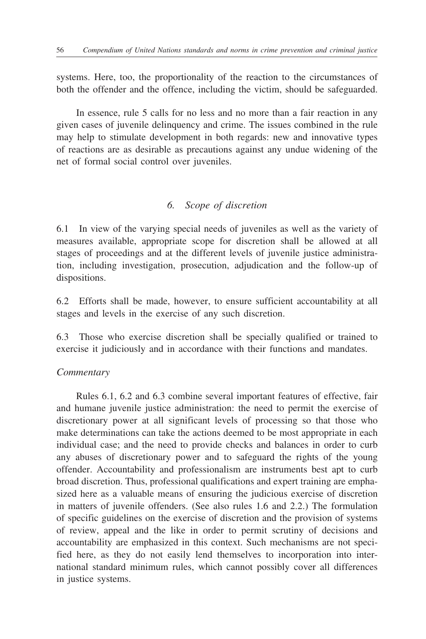systems. Here, too, the proportionality of the reaction to the circumstances of both the offender and the offence, including the victim, should be safeguarded.

In essence, rule 5 calls for no less and no more than a fair reaction in any given cases of juvenile delinquency and crime. The issues combined in the rule may help to stimulate development in both regards: new and innovative types of reactions are as desirable as precautions against any undue widening of the net of formal social control over juveniles.

### *6. Scope of discretion*

6.1 In view of the varying special needs of juveniles as well as the variety of measures available, appropriate scope for discretion shall be allowed at all stages of proceedings and at the different levels of juvenile justice administration, including investigation, prosecution, adjudication and the follow-up of dispositions.

6.2 Efforts shall be made, however, to ensure sufficient accountability at all stages and levels in the exercise of any such discretion.

6.3 Those who exercise discretion shall be specially qualified or trained to exercise it judiciously and in accordance with their functions and mandates.

### *Commentary*

Rules 6.1, 6.2 and 6.3 combine several important features of effective, fair and humane juvenile justice administration: the need to permit the exercise of discretionary power at all significant levels of processing so that those who make determinations can take the actions deemed to be most appropriate in each individual case; and the need to provide checks and balances in order to curb any abuses of discretionary power and to safeguard the rights of the young offender. Accountability and professionalism are instruments best apt to curb broad discretion. Thus, professional qualifications and expert training are emphasized here as a valuable means of ensuring the judicious exercise of discretion in matters of juvenile offenders. (See also rules 1.6 and 2.2.) The formulation of specific guidelines on the exercise of discretion and the provision of systems of review, appeal and the like in order to permit scrutiny of decisions and accountability are emphasized in this context. Such mechanisms are not specified here, as they do not easily lend themselves to incorporation into international standard minimum rules, which cannot possibly cover all differences in justice systems.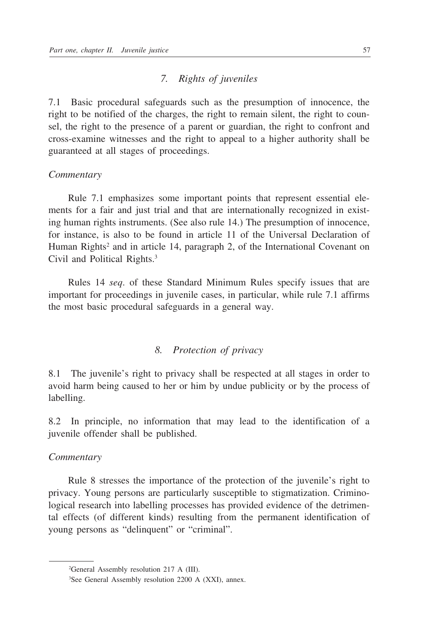# *7. Rights of juveniles*

7.1 Basic procedural safeguards such as the presumption of innocence, the right to be notified of the charges, the right to remain silent, the right to counsel, the right to the presence of a parent or guardian, the right to confront and cross-examine witnesses and the right to appeal to a higher authority shall be guaranteed at all stages of proceedings.

#### *Commentary*

Rule 7.1 emphasizes some important points that represent essential elements for a fair and just trial and that are internationally recognized in existing human rights instruments. (See also rule 14.) The presumption of innocence, for instance, is also to be found in article 11 of the Universal Declaration of Human Rights<sup>2</sup> and in article 14, paragraph 2, of the International Covenant on Civil and Political Rights.3

Rules 14 *seq*. of these Standard Minimum Rules specify issues that are important for proceedings in juvenile cases, in particular, while rule 7.1 affirms the most basic procedural safeguards in a general way.

### *8. Protection of privacy*

8.1 The juvenile's right to privacy shall be respected at all stages in order to avoid harm being caused to her or him by undue publicity or by the process of labelling.

8.2 In principle, no information that may lead to the identification of a juvenile offender shall be published.

### *Commentary*

Rule 8 stresses the importance of the protection of the juvenile's right to privacy. Young persons are particularly susceptible to stigmatization. Criminological research into labelling processes has provided evidence of the detrimental effects (of different kinds) resulting from the permanent identification of young persons as "delinquent" or "criminal".

<sup>2</sup> General Assembly resolution 217 A (III).

<sup>3</sup> See General Assembly resolution 2200 A (XXI), annex.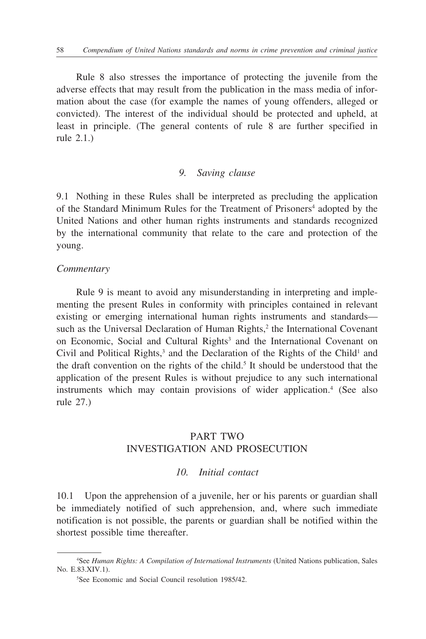Rule 8 also stresses the importance of protecting the juvenile from the adverse effects that may result from the publication in the mass media of information about the case (for example the names of young offenders, alleged or convicted). The interest of the individual should be protected and upheld, at least in principle. (The general contents of rule 8 are further specified in rule 2.1.)

### *9. Saving clause*

9.1 Nothing in these Rules shall be interpreted as precluding the application of the Standard Minimum Rules for the Treatment of Prisoners<sup>4</sup> adopted by the United Nations and other human rights instruments and standards recognized by the international community that relate to the care and protection of the young.

### *Commentary*

Rule 9 is meant to avoid any misunderstanding in interpreting and implementing the present Rules in conformity with principles contained in relevant existing or emerging international human rights instruments and standards such as the Universal Declaration of Human Rights,<sup>2</sup> the International Covenant on Economic, Social and Cultural Rights<sup>3</sup> and the International Covenant on Civil and Political Rights, $3$  and the Declaration of the Rights of the Child<sup>1</sup> and the draft convention on the rights of the child.<sup>5</sup> It should be understood that the application of the present Rules is without prejudice to any such international instruments which may contain provisions of wider application.4 (See also rule 27.)

# PART TWO INVESTIGATION AND PROSECUTION

### *10. Initial contact*

10.1 Upon the apprehension of a juvenile, her or his parents or guardian shall be immediately notified of such apprehension, and, where such immediate notification is not possible, the parents or guardian shall be notified within the shortest possible time thereafter.

<sup>4</sup> See *Human Rights: A Compilation of International Instruments* (United Nations publication, Sales No. E.83.XIV.1).

<sup>5</sup> See Economic and Social Council resolution 1985/42.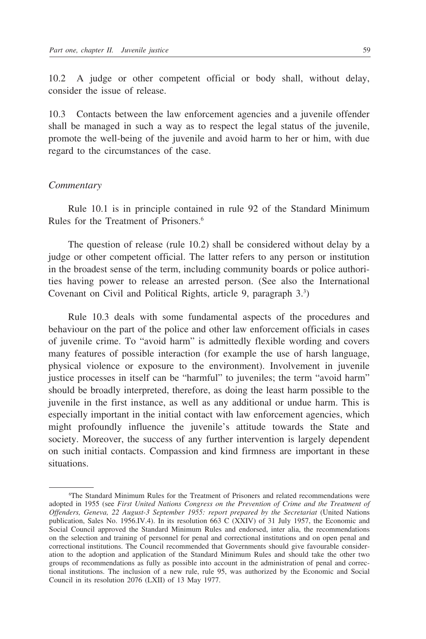10.2 A judge or other competent official or body shall, without delay, consider the issue of release.

10.3 Contacts between the law enforcement agencies and a juvenile offender shall be managed in such a way as to respect the legal status of the juvenile, promote the well-being of the juvenile and avoid harm to her or him, with due regard to the circumstances of the case.

#### *Commentary*

Rule 10.1 is in principle contained in rule 92 of the Standard Minimum Rules for the Treatment of Prisoners.6

The question of release (rule 10.2) shall be considered without delay by a judge or other competent official. The latter refers to any person or institution in the broadest sense of the term, including community boards or police authorities having power to release an arrested person. (See also the International Covenant on Civil and Political Rights, article 9, paragraph 3.<sup>3</sup>)

Rule 10.3 deals with some fundamental aspects of the procedures and behaviour on the part of the police and other law enforcement officials in cases of juvenile crime. To "avoid harm" is admittedly flexible wording and covers many features of possible interaction (for example the use of harsh language, physical violence or exposure to the environment). Involvement in juvenile justice processes in itself can be "harmful" to juveniles; the term "avoid harm" should be broadly interpreted, therefore, as doing the least harm possible to the juvenile in the first instance, as well as any additional or undue harm. This is especially important in the initial contact with law enforcement agencies, which might profoundly influence the juvenile's attitude towards the State and society. Moreover, the success of any further intervention is largely dependent on such initial contacts. Compassion and kind firmness are important in these situations.

<sup>6</sup> The Standard Minimum Rules for the Treatment of Prisoners and related recommendations were adopted in 1955 (see *First United Nations Congress on the Prevention of Crime and the Treatment of Offenders, Geneva, 22 August-3 September 1955: report prepared by the Secretariat (United Nations* publication, Sales No. 1956.IV.4). In its resolution 663 C (XXIV) of 31 July 1957, the Economic and Social Council approved the Standard Minimum Rules and endorsed, inter alia, the recommendations on the selection and training of personnel for penal and correctional institutions and on open penal and correctional institutions. The Council recommended that Governments should give favourable consideration to the adoption and application of the Standard Minimum Rules and should take the other two groups of recommendations as fully as possible into account in the administration of penal and correctional institutions. The inclusion of a new rule, rule 95, was authorized by the Economic and Social Council in its resolution 2076 (LXII) of 13 May 1977.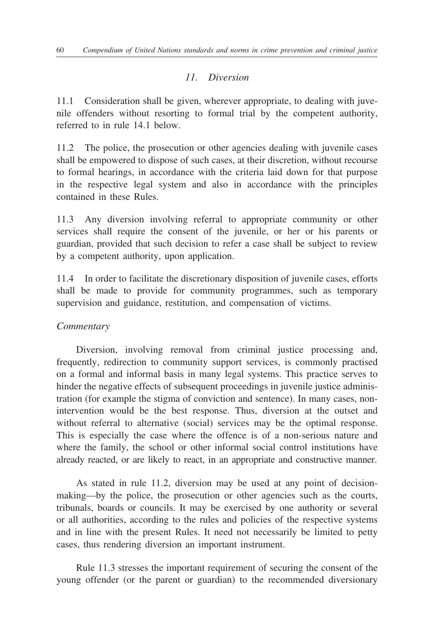### *11. Diversion*

11.1 Consideration shall be given, wherever appropriate, to dealing with juvenile offenders without resorting to formal trial by the competent authority, referred to in rule 14.1 below.

11.2 The police, the prosecution or other agencies dealing with juvenile cases shall be empowered to dispose of such cases, at their discretion, without recourse to formal hearings, in accordance with the criteria laid down for that purpose in the respective legal system and also in accordance with the principles contained in these Rules.

11.3 Any diversion involving referral to appropriate community or other services shall require the consent of the juvenile, or her or his parents or guardian, provided that such decision to refer a case shall be subject to review by a competent authority, upon application.

11.4 In order to facilitate the discretionary disposition of juvenile cases, efforts shall be made to provide for community programmes, such as temporary supervision and guidance, restitution, and compensation of victims.

### *Commentary*

Diversion, involving removal from criminal justice processing and, frequently, redirection to community support services, is commonly practised on a formal and informal basis in many legal systems. This practice serves to hinder the negative effects of subsequent proceedings in juvenile justice administration (for example the stigma of conviction and sentence). In many cases, nonintervention would be the best response. Thus, diversion at the outset and without referral to alternative (social) services may be the optimal response. This is especially the case where the offence is of a non-serious nature and where the family, the school or other informal social control institutions have already reacted, or are likely to react, in an appropriate and constructive manner.

As stated in rule 11.2, diversion may be used at any point of decisionmaking—by the police, the prosecution or other agencies such as the courts, tribunals, boards or councils. It may be exercised by one authority or several or all authorities, according to the rules and policies of the respective systems and in line with the present Rules. It need not necessarily be limited to petty cases, thus rendering diversion an important instrument.

Rule 11.3 stresses the important requirement of securing the consent of the young offender (or the parent or guardian) to the recommended diversionary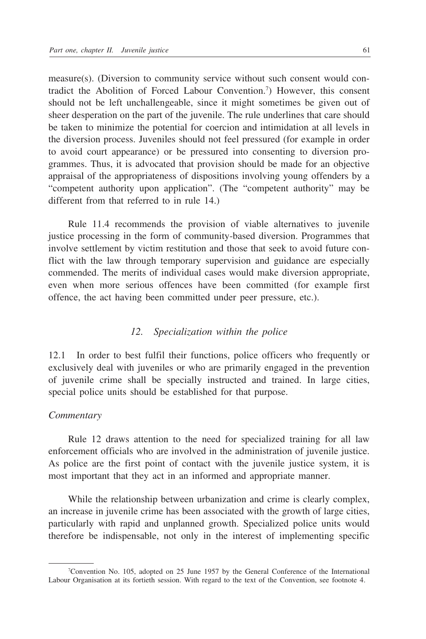measure(s). (Diversion to community service without such consent would contradict the Abolition of Forced Labour Convention.7 ) However, this consent should not be left unchallengeable, since it might sometimes be given out of sheer desperation on the part of the juvenile. The rule underlines that care should be taken to minimize the potential for coercion and intimidation at all levels in the diversion process. Juveniles should not feel pressured (for example in order to avoid court appearance) or be pressured into consenting to diversion programmes. Thus, it is advocated that provision should be made for an objective appraisal of the appropriateness of dispositions involving young offenders by a "competent authority upon application". (The "competent authority" may be different from that referred to in rule 14.)

Rule 11.4 recommends the provision of viable alternatives to juvenile justice processing in the form of community-based diversion. Programmes that involve settlement by victim restitution and those that seek to avoid future conflict with the law through temporary supervision and guidance are especially commended. The merits of individual cases would make diversion appropriate, even when more serious offences have been committed (for example first offence, the act having been committed under peer pressure, etc.).

#### *12. Specialization within the police*

12.1 In order to best fulfil their functions, police officers who frequently or exclusively deal with juveniles or who are primarily engaged in the prevention of juvenile crime shall be specially instructed and trained. In large cities, special police units should be established for that purpose.

### *Commentary*

Rule 12 draws attention to the need for specialized training for all law enforcement officials who are involved in the administration of juvenile justice. As police are the first point of contact with the juvenile justice system, it is most important that they act in an informed and appropriate manner.

While the relationship between urbanization and crime is clearly complex, an increase in juvenile crime has been associated with the growth of large cities, particularly with rapid and unplanned growth. Specialized police units would therefore be indispensable, not only in the interest of implementing specific

<sup>7</sup> Convention No. 105, adopted on 25 June 1957 by the General Conference of the International Labour Organisation at its fortieth session. With regard to the text of the Convention, see footnote 4.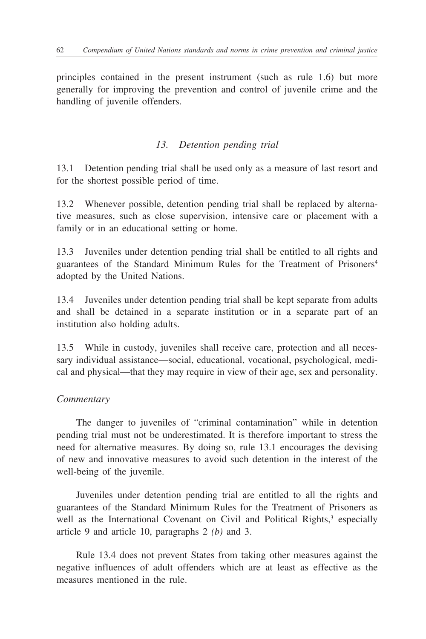principles contained in the present instrument (such as rule 1.6) but more generally for improving the prevention and control of juvenile crime and the handling of juvenile offenders.

# *13. Detention pending trial*

13.1 Detention pending trial shall be used only as a measure of last resort and for the shortest possible period of time.

13.2 Whenever possible, detention pending trial shall be replaced by alternative measures, such as close supervision, intensive care or placement with a family or in an educational setting or home.

13.3 Juveniles under detention pending trial shall be entitled to all rights and guarantees of the Standard Minimum Rules for the Treatment of Prisoners<sup>4</sup> adopted by the United Nations.

13.4 Juveniles under detention pending trial shall be kept separate from adults and shall be detained in a separate institution or in a separate part of an institution also holding adults.

13.5 While in custody, juveniles shall receive care, protection and all necessary individual assistance—social, educational, vocational, psychological, medical and physical—that they may require in view of their age, sex and personality.

# *Commentary*

The danger to juveniles of "criminal contamination" while in detention pending trial must not be underestimated. It is therefore important to stress the need for alternative measures. By doing so, rule 13.1 encourages the devising of new and innovative measures to avoid such detention in the interest of the well-being of the juvenile.

Juveniles under detention pending trial are entitled to all the rights and guarantees of the Standard Minimum Rules for the Treatment of Prisoners as well as the International Covenant on Civil and Political Rights,<sup>3</sup> especially article 9 and article 10, paragraphs 2 *(b)* and 3.

Rule 13.4 does not prevent States from taking other measures against the negative influences of adult offenders which are at least as effective as the measures mentioned in the rule.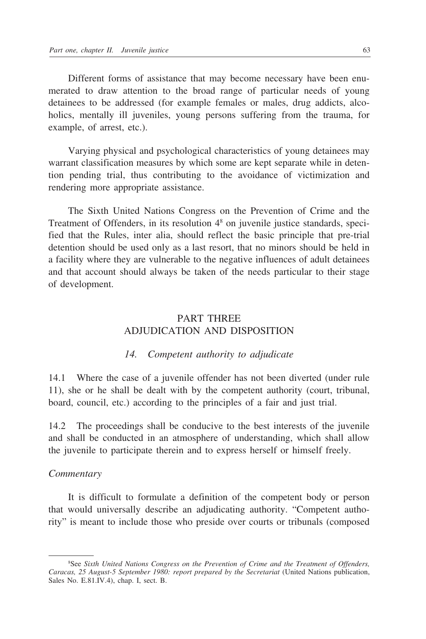Different forms of assistance that may become necessary have been enumerated to draw attention to the broad range of particular needs of young detainees to be addressed (for example females or males, drug addicts, alcoholics, mentally ill juveniles, young persons suffering from the trauma, for example, of arrest, etc.).

Varying physical and psychological characteristics of young detainees may warrant classification measures by which some are kept separate while in detention pending trial, thus contributing to the avoidance of victimization and rendering more appropriate assistance.

The Sixth United Nations Congress on the Prevention of Crime and the Treatment of Offenders, in its resolution  $4<sup>8</sup>$  on juvenile justice standards, specified that the Rules, inter alia, should reflect the basic principle that pre-trial detention should be used only as a last resort, that no minors should be held in a facility where they are vulnerable to the negative influences of adult detainees and that account should always be taken of the needs particular to their stage of development.

# PART THREE ADJUDICATION AND DISPOSITION

### *14. Competent authority to adjudicate*

14.1 Where the case of a juvenile offender has not been diverted (under rule 11), she or he shall be dealt with by the competent authority (court, tribunal, board, council, etc.) according to the principles of a fair and just trial.

14.2 The proceedings shall be conducive to the best interests of the juvenile and shall be conducted in an atmosphere of understanding, which shall allow the juvenile to participate therein and to express herself or himself freely.

#### *Commentary*

It is difficult to formulate a definition of the competent body or person that would universally describe an adjudicating authority. "Competent authority" is meant to include those who preside over courts or tribunals (composed

<sup>8</sup> See *Sixth United Nations Congress on the Prevention of Crime and the Treatment of Offenders,* Caracas, 25 August-5 September 1980: report prepared by the Secretariat (United Nations publication, Sales No. E.81.IV.4), chap. I, sect. B.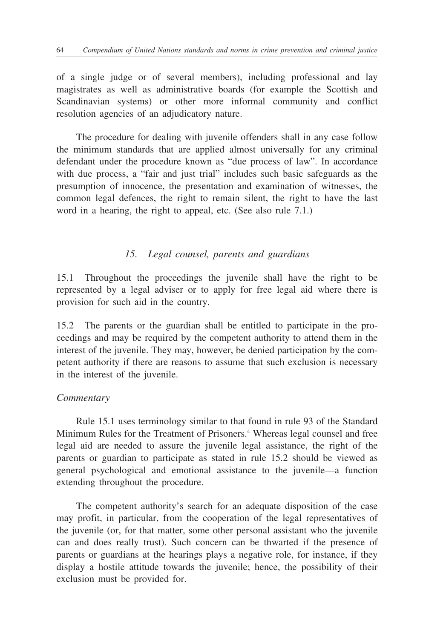of a single judge or of several members), including professional and lay magistrates as well as administrative boards (for example the Scottish and Scandinavian systems) or other more informal community and conflict resolution agencies of an adjudicatory nature.

The procedure for dealing with juvenile offenders shall in any case follow the minimum standards that are applied almost universally for any criminal defendant under the procedure known as "due process of law". In accordance with due process, a "fair and just trial" includes such basic safeguards as the presumption of innocence, the presentation and examination of witnesses, the common legal defences, the right to remain silent, the right to have the last word in a hearing, the right to appeal, etc. (See also rule 7.1.)

### *15. Legal counsel, parents and guardians*

15.1 Throughout the proceedings the juvenile shall have the right to be represented by a legal adviser or to apply for free legal aid where there is provision for such aid in the country.

15.2 The parents or the guardian shall be entitled to participate in the proceedings and may be required by the competent authority to attend them in the interest of the juvenile. They may, however, be denied participation by the competent authority if there are reasons to assume that such exclusion is necessary in the interest of the juvenile.

### *Commentary*

Rule 15.1 uses terminology similar to that found in rule 93 of the Standard Minimum Rules for the Treatment of Prisoners.<sup>4</sup> Whereas legal counsel and free legal aid are needed to assure the juvenile legal assistance, the right of the parents or guardian to participate as stated in rule 15.2 should be viewed as general psychological and emotional assistance to the juvenile—a function extending throughout the procedure.

The competent authority's search for an adequate disposition of the case may profit, in particular, from the cooperation of the legal representatives of the juvenile (or, for that matter, some other personal assistant who the juvenile can and does really trust). Such concern can be thwarted if the presence of parents or guardians at the hearings plays a negative role, for instance, if they display a hostile attitude towards the juvenile; hence, the possibility of their exclusion must be provided for.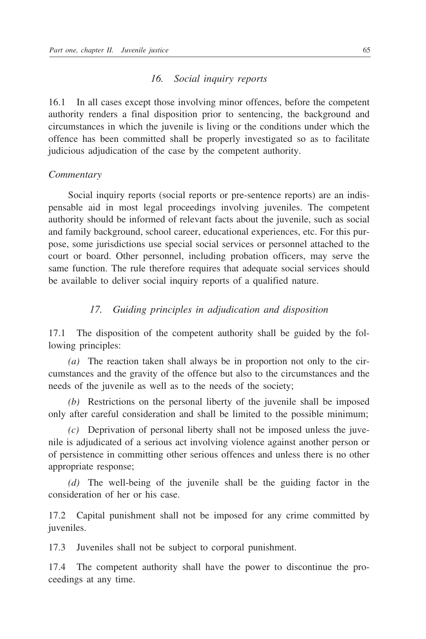### *16. Social inquiry reports*

16.1 In all cases except those involving minor offences, before the competent authority renders a final disposition prior to sentencing, the background and circumstances in which the juvenile is living or the conditions under which the offence has been committed shall be properly investigated so as to facilitate judicious adjudication of the case by the competent authority.

#### *Commentary*

Social inquiry reports (social reports or pre-sentence reports) are an indispensable aid in most legal proceedings involving juveniles. The competent authority should be informed of relevant facts about the juvenile, such as social and family background, school career, educational experiences, etc. For this purpose, some jurisdictions use special social services or personnel attached to the court or board. Other personnel, including probation officers, may serve the same function. The rule therefore requires that adequate social services should be available to deliver social inquiry reports of a qualified nature.

### *17. Guiding principles in adjudication and disposition*

17.1 The disposition of the competent authority shall be guided by the following principles:

*(a)* The reaction taken shall always be in proportion not only to the circumstances and the gravity of the offence but also to the circumstances and the needs of the juvenile as well as to the needs of the society;

*(b)* Restrictions on the personal liberty of the juvenile shall be imposed only after careful consideration and shall be limited to the possible minimum;

*(c)* Deprivation of personal liberty shall not be imposed unless the juvenile is adjudicated of a serious act involving violence against another person or of persistence in committing other serious offences and unless there is no other appropriate response;

*(d)* The well-being of the juvenile shall be the guiding factor in the consideration of her or his case.

17.2 Capital punishment shall not be imposed for any crime committed by juveniles.

17.3 Juveniles shall not be subject to corporal punishment.

17.4 The competent authority shall have the power to discontinue the proceedings at any time.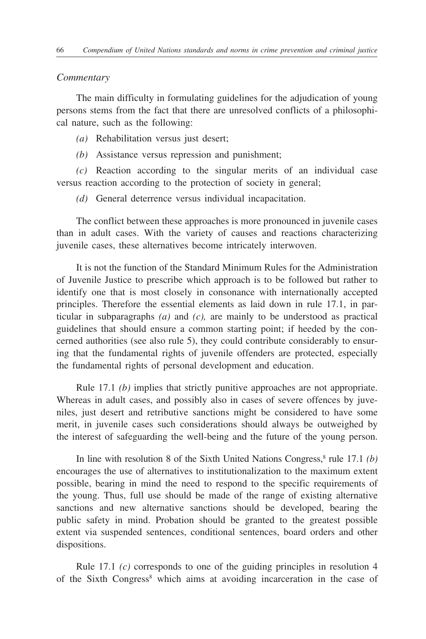### *Commentary*

The main difficulty in formulating guidelines for the adjudication of young persons stems from the fact that there are unresolved conflicts of a philosophical nature, such as the following:

- *(a)* Rehabilitation versus just desert;
- *(b)* Assistance versus repression and punishment;

*(c)* Reaction according to the singular merits of an individual case versus reaction according to the protection of society in general;

*(d)* General deterrence versus individual incapacitation.

The conflict between these approaches is more pronounced in juvenile cases than in adult cases. With the variety of causes and reactions characterizing juvenile cases, these alternatives become intricately interwoven.

It is not the function of the Standard Minimum Rules for the Administration of Juvenile Justice to prescribe which approach is to be followed but rather to identify one that is most closely in consonance with internationally accepted principles. Therefore the essential elements as laid down in rule 17.1, in particular in subparagraphs *(a)* and *(c),* are mainly to be understood as practical guidelines that should ensure a common starting point; if heeded by the concerned authorities (see also rule 5), they could contribute considerably to ensuring that the fundamental rights of juvenile offenders are protected, especially the fundamental rights of personal development and education.

Rule 17.1 *(b)* implies that strictly punitive approaches are not appropriate. Whereas in adult cases, and possibly also in cases of severe offences by juveniles, just desert and retributive sanctions might be considered to have some merit, in juvenile cases such considerations should always be outweighed by the interest of safeguarding the well-being and the future of the young person.

In line with resolution 8 of the Sixth United Nations Congress,8 rule 17.1 *(b)* encourages the use of alternatives to institutionalization to the maximum extent possible, bearing in mind the need to respond to the specific requirements of the young. Thus, full use should be made of the range of existing alternative sanctions and new alternative sanctions should be developed, bearing the public safety in mind. Probation should be granted to the greatest possible extent via suspended sentences, conditional sentences, board orders and other dispositions.

Rule 17.1 *(c)* corresponds to one of the guiding principles in resolution 4 of the Sixth Congress<sup>8</sup> which aims at avoiding incarceration in the case of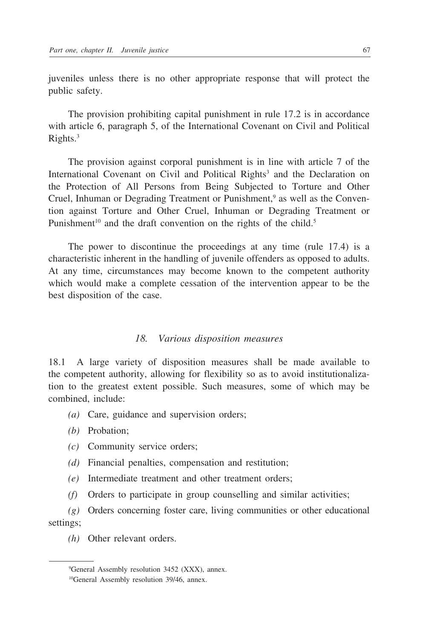juveniles unless there is no other appropriate response that will protect the public safety.

The provision prohibiting capital punishment in rule 17.2 is in accordance with article 6, paragraph 5, of the International Covenant on Civil and Political Rights.3

The provision against corporal punishment is in line with article 7 of the International Covenant on Civil and Political Rights<sup>3</sup> and the Declaration on the Protection of All Persons from Being Subjected to Torture and Other Cruel, Inhuman or Degrading Treatment or Punishment,<sup>9</sup> as well as the Convention against Torture and Other Cruel, Inhuman or Degrading Treatment or Punishment<sup>10</sup> and the draft convention on the rights of the child.<sup>5</sup>

The power to discontinue the proceedings at any time (rule 17.4) is a characteristic inherent in the handling of juvenile offenders as opposed to adults. At any time, circumstances may become known to the competent authority which would make a complete cessation of the intervention appear to be the best disposition of the case.

#### *18. Various disposition measures*

18.1 A large variety of disposition measures shall be made available to the competent authority, allowing for flexibility so as to avoid institutionalization to the greatest extent possible. Such measures, some of which may be combined, include:

- *(a)* Care, guidance and supervision orders;
- *(b)* Probation;
- *(c)* Community service orders;
- *(d)* Financial penalties, compensation and restitution;
- *(e)* Intermediate treatment and other treatment orders;
- *(f)* Orders to participate in group counselling and similar activities;

*(g)* Orders concerning foster care, living communities or other educational settings;

*(h)* Other relevant orders.

<sup>9</sup> General Assembly resolution 3452 (XXX), annex.

<sup>&</sup>lt;sup>10</sup>General Assembly resolution 39/46, annex.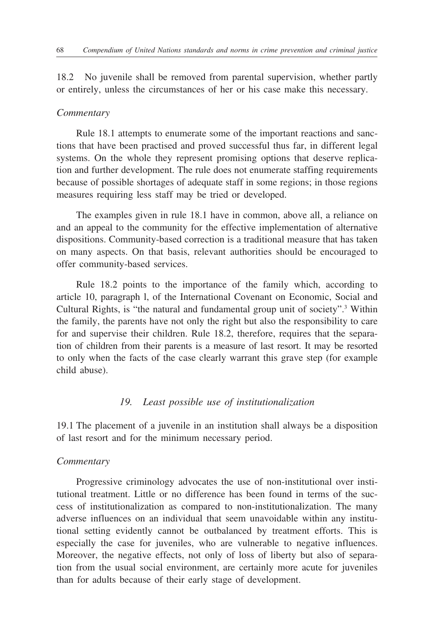18.2 No juvenile shall be removed from parental supervision, whether partly or entirely, unless the circumstances of her or his case make this necessary.

#### *Commentary*

Rule 18.1 attempts to enumerate some of the important reactions and sanctions that have been practised and proved successful thus far, in different legal systems. On the whole they represent promising options that deserve replication and further development. The rule does not enumerate staffing requirements because of possible shortages of adequate staff in some regions; in those regions measures requiring less staff may be tried or developed.

The examples given in rule 18.1 have in common, above all, a reliance on and an appeal to the community for the effective implementation of alternative dispositions. Community-based correction is a traditional measure that has taken on many aspects. On that basis, relevant authorities should be encouraged to offer community-based services.

Rule 18.2 points to the importance of the family which, according to article 10, paragraph l, of the International Covenant on Economic, Social and Cultural Rights, is "the natural and fundamental group unit of society".3 Within the family, the parents have not only the right but also the responsibility to care for and supervise their children. Rule 18.2, therefore, requires that the separation of children from their parents is a measure of last resort. It may be resorted to only when the facts of the case clearly warrant this grave step (for example child abuse).

### *19. Least possible use of institutionalization*

19.1 The placement of a juvenile in an institution shall always be a disposition of last resort and for the minimum necessary period.

#### *Commentary*

Progressive criminology advocates the use of non-institutional over institutional treatment. Little or no difference has been found in terms of the success of institutionalization as compared to non-institutionalization. The many adverse influences on an individual that seem unavoidable within any institutional setting evidently cannot be outbalanced by treatment efforts. This is especially the case for juveniles, who are vulnerable to negative influences. Moreover, the negative effects, not only of loss of liberty but also of separation from the usual social environment, are certainly more acute for juveniles than for adults because of their early stage of development.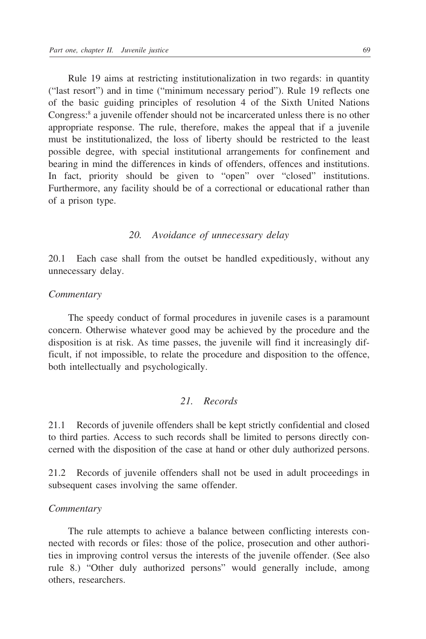Rule 19 aims at restricting institutionalization in two regards: in quantity ("last resort") and in time ("minimum necessary period"). Rule 19 reflects one of the basic guiding principles of resolution 4 of the Sixth United Nations Congress:8 a juvenile offender should not be incarcerated unless there is no other appropriate response. The rule, therefore, makes the appeal that if a juvenile must be institutionalized, the loss of liberty should be restricted to the least possible degree, with special institutional arrangements for confinement and bearing in mind the differences in kinds of offenders, offences and institutions. In fact, priority should be given to "open" over "closed" institutions. Furthermore, any facility should be of a correctional or educational rather than of a prison type.

### *20. Avoidance of unnecessary delay*

20.1 Each case shall from the outset be handled expeditiously, without any unnecessary delay.

### *Commentary*

The speedy conduct of formal procedures in juvenile cases is a paramount concern. Otherwise whatever good may be achieved by the procedure and the disposition is at risk. As time passes, the juvenile will find it increasingly difficult, if not impossible, to relate the procedure and disposition to the offence, both intellectually and psychologically.

### *21. Records*

21.1 Records of juvenile offenders shall be kept strictly confidential and closed to third parties. Access to such records shall be limited to persons directly concerned with the disposition of the case at hand or other duly authorized persons.

21.2 Records of juvenile offenders shall not be used in adult proceedings in subsequent cases involving the same offender.

#### *Commentary*

The rule attempts to achieve a balance between conflicting interests connected with records or files: those of the police, prosecution and other authorities in improving control versus the interests of the juvenile offender. (See also rule 8.) "Other duly authorized persons" would generally include, among others, researchers.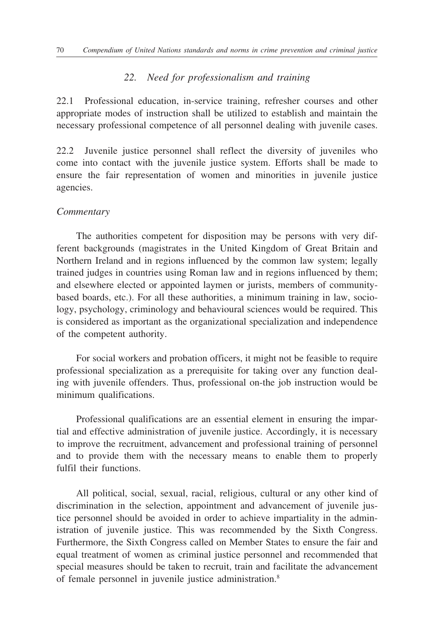### *22. Need for professionalism and training*

22.1 Professional education, in-service training, refresher courses and other appropriate modes of instruction shall be utilized to establish and maintain the necessary professional competence of all personnel dealing with juvenile cases.

22.2 Juvenile justice personnel shall reflect the diversity of juveniles who come into contact with the juvenile justice system. Efforts shall be made to ensure the fair representation of women and minorities in juvenile justice agencies.

### *Commentary*

The authorities competent for disposition may be persons with very different backgrounds (magistrates in the United Kingdom of Great Britain and Northern Ireland and in regions influenced by the common law system; legally trained judges in countries using Roman law and in regions influenced by them; and elsewhere elected or appointed laymen or jurists, members of communitybased boards, etc.). For all these authorities, a minimum training in law, sociology, psychology, criminology and behavioural sciences would be required. This is considered as important as the organizational specialization and independence of the competent authority.

For social workers and probation officers, it might not be feasible to require professional specialization as a prerequisite for taking over any function dealing with juvenile offenders. Thus, professional on-the job instruction would be minimum qualifications.

Professional qualifications are an essential element in ensuring the impartial and effective administration of juvenile justice. Accordingly, it is necessary to improve the recruitment, advancement and professional training of personnel and to provide them with the necessary means to enable them to properly fulfil their functions.

All political, social, sexual, racial, religious, cultural or any other kind of discrimination in the selection, appointment and advancement of juvenile justice personnel should be avoided in order to achieve impartiality in the administration of juvenile justice. This was recommended by the Sixth Congress. Furthermore, the Sixth Congress called on Member States to ensure the fair and equal treatment of women as criminal justice personnel and recommended that special measures should be taken to recruit, train and facilitate the advancement of female personnel in juvenile justice administration.8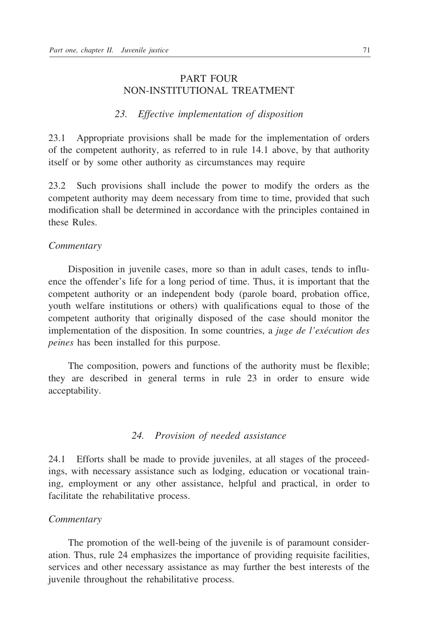# PART FOUR NON-INSTITUTIONAL TREATMENT

#### *23. Effective implementation of disposition*

23.1 Appropriate provisions shall be made for the implementation of orders of the competent authority, as referred to in rule 14.1 above, by that authority itself or by some other authority as circumstances may require

23.2 Such provisions shall include the power to modify the orders as the competent authority may deem necessary from time to time, provided that such modification shall be determined in accordance with the principles contained in these Rules.

#### *Commentary*

Disposition in juvenile cases, more so than in adult cases, tends to influence the offender's life for a long period of time. Thus, it is important that the competent authority or an independent body (parole board, probation office, youth welfare institutions or others) with qualifications equal to those of the competent authority that originally disposed of the case should monitor the implementation of the disposition. In some countries, a *juge de l'exécution des peines* has been installed for this purpose.

The composition, powers and functions of the authority must be flexible; they are described in general terms in rule 23 in order to ensure wide acceptability.

### *24. Provision of needed assistance*

24.1 Efforts shall be made to provide juveniles, at all stages of the proceedings, with necessary assistance such as lodging, education or vocational training, employment or any other assistance, helpful and practical, in order to facilitate the rehabilitative process.

#### *Commentary*

The promotion of the well-being of the juvenile is of paramount consideration. Thus, rule 24 emphasizes the importance of providing requisite facilities, services and other necessary assistance as may further the best interests of the juvenile throughout the rehabilitative process.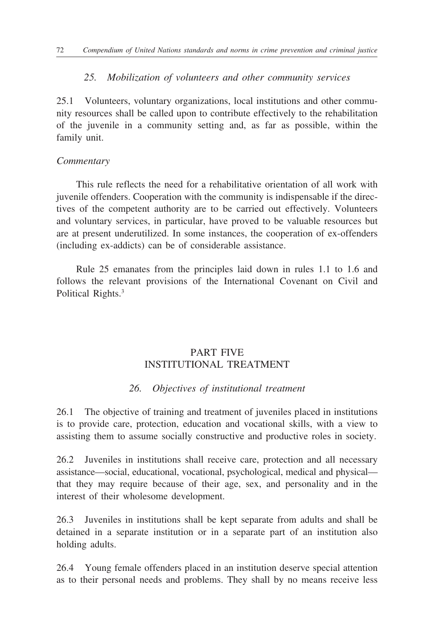### *25. Mobilization of volunteers and other community services*

25.1 Volunteers, voluntary organizations, local institutions and other community resources shall be called upon to contribute effectively to the rehabilitation of the juvenile in a community setting and, as far as possible, within the family unit.

### *Commentary*

This rule reflects the need for a rehabilitative orientation of all work with juvenile offenders. Cooperation with the community is indispensable if the directives of the competent authority are to be carried out effectively. Volunteers and voluntary services, in particular, have proved to be valuable resources but are at present underutilized. In some instances, the cooperation of ex-offenders (including ex-addicts) can be of considerable assistance.

Rule 25 emanates from the principles laid down in rules 1.1 to 1.6 and follows the relevant provisions of the International Covenant on Civil and Political Rights.<sup>3</sup>

# PART FIVE INSTITUTIONAL TREATMENT

# *26. Objectives of institutional treatment*

26.1 The objective of training and treatment of juveniles placed in institutions is to provide care, protection, education and vocational skills, with a view to assisting them to assume socially constructive and productive roles in society.

26.2 Juveniles in institutions shall receive care, protection and all necessary assistance—social, educational, vocational, psychological, medical and physical that they may require because of their age, sex, and personality and in the interest of their wholesome development.

26.3 Juveniles in institutions shall be kept separate from adults and shall be detained in a separate institution or in a separate part of an institution also holding adults.

26.4 Young female offenders placed in an institution deserve special attention as to their personal needs and problems. They shall by no means receive less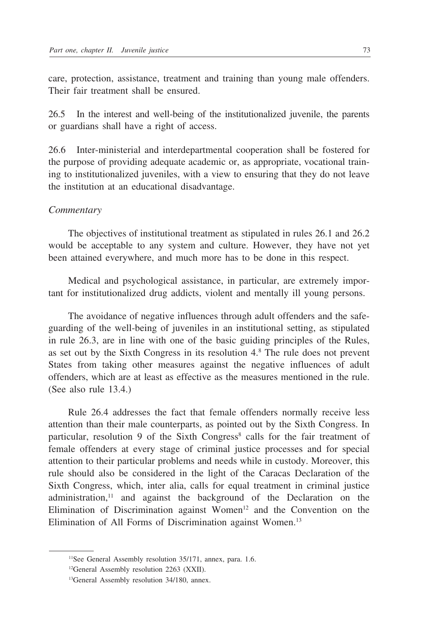care, protection, assistance, treatment and training than young male offenders. Their fair treatment shall be ensured.

26.5 In the interest and well-being of the institutionalized juvenile, the parents or guardians shall have a right of access.

26.6 Inter-ministerial and interdepartmental cooperation shall be fostered for the purpose of providing adequate academic or, as appropriate, vocational training to institutionalized juveniles, with a view to ensuring that they do not leave the institution at an educational disadvantage.

#### *Commentary*

The objectives of institutional treatment as stipulated in rules 26.1 and 26.2 would be acceptable to any system and culture. However, they have not yet been attained everywhere, and much more has to be done in this respect.

Medical and psychological assistance, in particular, are extremely important for institutionalized drug addicts, violent and mentally ill young persons.

The avoidance of negative influences through adult offenders and the safeguarding of the well-being of juveniles in an institutional setting, as stipulated in rule 26.3, are in line with one of the basic guiding principles of the Rules, as set out by the Sixth Congress in its resolution 4.8 The rule does not prevent States from taking other measures against the negative influences of adult offenders, which are at least as effective as the measures mentioned in the rule. (See also rule 13.4.)

Rule 26.4 addresses the fact that female offenders normally receive less attention than their male counterparts, as pointed out by the Sixth Congress. In particular, resolution 9 of the Sixth Congress<sup>8</sup> calls for the fair treatment of female offenders at every stage of criminal justice processes and for special attention to their particular problems and needs while in custody. Moreover, this rule should also be considered in the light of the Caracas Declaration of the Sixth Congress, which, inter alia, calls for equal treatment in criminal justice administration,<sup>11</sup> and against the background of the Declaration on the Elimination of Discrimination against Women $12$  and the Convention on the Elimination of All Forms of Discrimination against Women.<sup>13</sup>

<sup>&</sup>lt;sup>11</sup>See General Assembly resolution 35/171, annex, para. 1.6.

<sup>&</sup>lt;sup>12</sup>General Assembly resolution 2263 (XXII).

<sup>13</sup>General Assembly resolution 34/180, annex.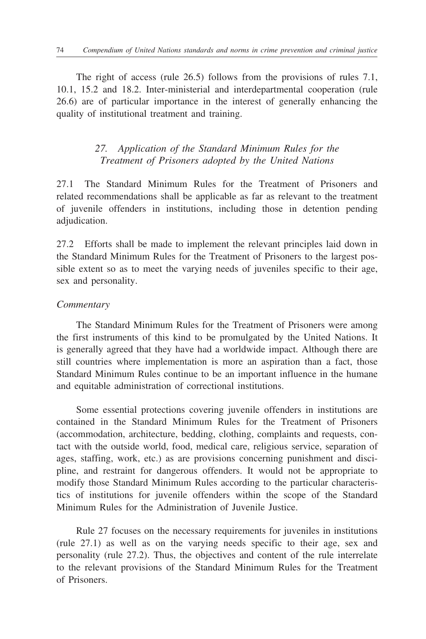The right of access (rule 26.5) follows from the provisions of rules 7.1, 10.1, 15.2 and 18.2. Inter-ministerial and interdepartmental cooperation (rule 26.6) are of particular importance in the interest of generally enhancing the quality of institutional treatment and training.

# *27. Application of the Standard Minimum Rules for the Treatment of Prisoners adopted by the United Nations*

27.1 The Standard Minimum Rules for the Treatment of Prisoners and related recommendations shall be applicable as far as relevant to the treatment of juvenile offenders in institutions, including those in detention pending adjudication.

27.2 Efforts shall be made to implement the relevant principles laid down in the Standard Minimum Rules for the Treatment of Prisoners to the largest possible extent so as to meet the varying needs of juveniles specific to their age, sex and personality.

### *Commentary*

The Standard Minimum Rules for the Treatment of Prisoners were among the first instruments of this kind to be promulgated by the United Nations. It is generally agreed that they have had a worldwide impact. Although there are still countries where implementation is more an aspiration than a fact, those Standard Minimum Rules continue to be an important influence in the humane and equitable administration of correctional institutions.

Some essential protections covering juvenile offenders in institutions are contained in the Standard Minimum Rules for the Treatment of Prisoners (accommodation, architecture, bedding, clothing, complaints and requests, contact with the outside world, food, medical care, religious service, separation of ages, staffing, work, etc.) as are provisions concerning punishment and discipline, and restraint for dangerous offenders. It would not be appropriate to modify those Standard Minimum Rules according to the particular characteristics of institutions for juvenile offenders within the scope of the Standard Minimum Rules for the Administration of Juvenile Justice.

Rule 27 focuses on the necessary requirements for juveniles in institutions (rule 27.1) as well as on the varying needs specific to their age, sex and personality (rule 27.2). Thus, the objectives and content of the rule interrelate to the relevant provisions of the Standard Minimum Rules for the Treatment of Prisoners.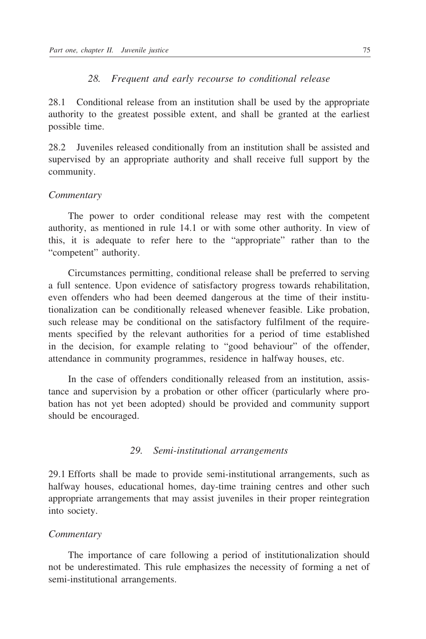#### *28. Frequent and early recourse to conditional release*

28.1 Conditional release from an institution shall be used by the appropriate authority to the greatest possible extent, and shall be granted at the earliest possible time.

28.2 Juveniles released conditionally from an institution shall be assisted and supervised by an appropriate authority and shall receive full support by the community.

#### *Commentary*

The power to order conditional release may rest with the competent authority, as mentioned in rule 14.1 or with some other authority. In view of this, it is adequate to refer here to the "appropriate" rather than to the "competent" authority.

Circumstances permitting, conditional release shall be preferred to serving a full sentence. Upon evidence of satisfactory progress towards rehabilitation, even offenders who had been deemed dangerous at the time of their institutionalization can be conditionally released whenever feasible. Like probation, such release may be conditional on the satisfactory fulfilment of the requirements specified by the relevant authorities for a period of time established in the decision, for example relating to "good behaviour" of the offender, attendance in community programmes, residence in halfway houses, etc.

In the case of offenders conditionally released from an institution, assistance and supervision by a probation or other officer (particularly where probation has not yet been adopted) should be provided and community support should be encouraged.

### *29. Semi-institutional arrangements*

29.1 Efforts shall be made to provide semi-institutional arrangements, such as halfway houses, educational homes, day-time training centres and other such appropriate arrangements that may assist juveniles in their proper reintegration into society.

#### *Commentary*

The importance of care following a period of institutionalization should not be underestimated. This rule emphasizes the necessity of forming a net of semi-institutional arrangements.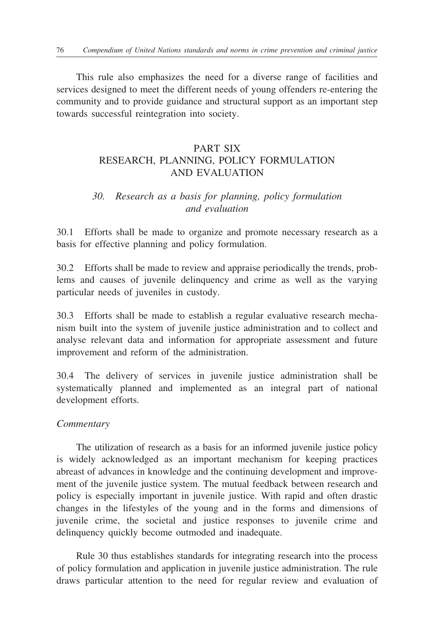This rule also emphasizes the need for a diverse range of facilities and services designed to meet the different needs of young offenders re-entering the community and to provide guidance and structural support as an important step towards successful reintegration into society.

# PART SIX RESEARCH, PLANNING, POLICY FORMULATION AND EVALUATION

# *30. Research as a basis for planning, policy formulation and evaluation*

30.1 Efforts shall be made to organize and promote necessary research as a basis for effective planning and policy formulation.

30.2 Efforts shall be made to review and appraise periodically the trends, problems and causes of juvenile delinquency and crime as well as the varying particular needs of juveniles in custody.

30.3 Efforts shall be made to establish a regular evaluative research mechanism built into the system of juvenile justice administration and to collect and analyse relevant data and information for appropriate assessment and future improvement and reform of the administration.

30.4 The delivery of services in juvenile justice administration shall be systematically planned and implemented as an integral part of national development efforts.

# *Commentary*

The utilization of research as a basis for an informed juvenile justice policy is widely acknowledged as an important mechanism for keeping practices abreast of advances in knowledge and the continuing development and improvement of the juvenile justice system. The mutual feedback between research and policy is especially important in juvenile justice. With rapid and often drastic changes in the lifestyles of the young and in the forms and dimensions of juvenile crime, the societal and justice responses to juvenile crime and delinquency quickly become outmoded and inadequate.

Rule 30 thus establishes standards for integrating research into the process of policy formulation and application in juvenile justice administration. The rule draws particular attention to the need for regular review and evaluation of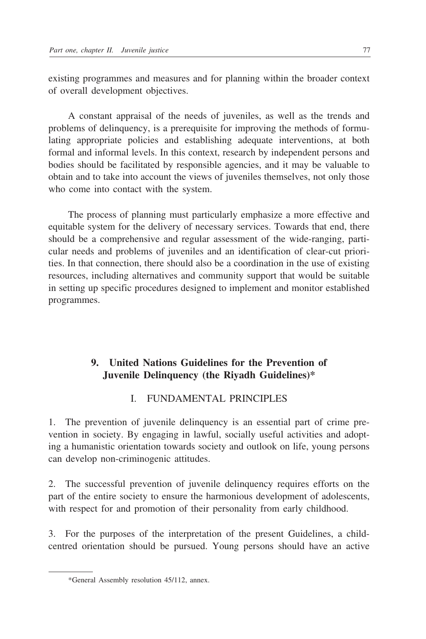existing programmes and measures and for planning within the broader context of overall development objectives.

A constant appraisal of the needs of juveniles, as well as the trends and problems of delinquency, is a prerequisite for improving the methods of formulating appropriate policies and establishing adequate interventions, at both formal and informal levels. In this context, research by independent persons and bodies should be facilitated by responsible agencies, and it may be valuable to obtain and to take into account the views of juveniles themselves, not only those who come into contact with the system.

The process of planning must particularly emphasize a more effective and equitable system for the delivery of necessary services. Towards that end, there should be a comprehensive and regular assessment of the wide-ranging, particular needs and problems of juveniles and an identification of clear-cut priorities. In that connection, there should also be a coordination in the use of existing resources, including alternatives and community support that would be suitable in setting up specific procedures designed to implement and monitor established programmes.

# **9. United Nations Guidelines for the Prevention of Juvenile Delinquency (the Riyadh Guidelines)\***

# I. FUNDAMENTAL PRINCIPLES

1. The prevention of juvenile delinquency is an essential part of crime prevention in society. By engaging in lawful, socially useful activities and adopting a humanistic orientation towards society and outlook on life, young persons can develop non-criminogenic attitudes.

2. The successful prevention of juvenile delinquency requires efforts on the part of the entire society to ensure the harmonious development of adolescents, with respect for and promotion of their personality from early childhood.

3. For the purposes of the interpretation of the present Guidelines, a childcentred orientation should be pursued. Young persons should have an active

<sup>\*</sup>General Assembly resolution 45/112, annex.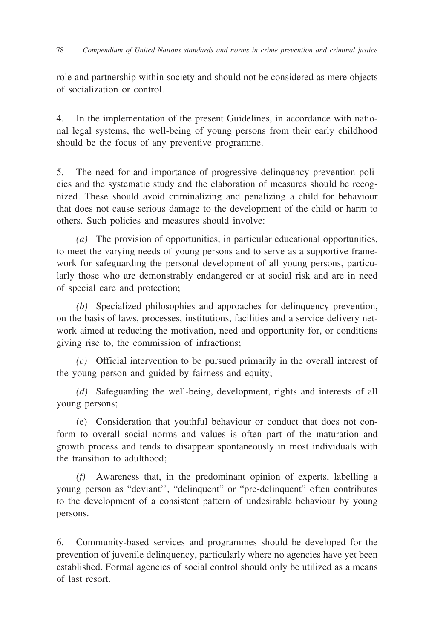role and partnership within society and should not be considered as mere objects of socialization or control.

4. In the implementation of the present Guidelines, in accordance with national legal systems, the well-being of young persons from their early childhood should be the focus of any preventive programme.

5. The need for and importance of progressive delinquency prevention policies and the systematic study and the elaboration of measures should be recognized. These should avoid criminalizing and penalizing a child for behaviour that does not cause serious damage to the development of the child or harm to others. Such policies and measures should involve:

*(a)* The provision of opportunities, in particular educational opportunities, to meet the varying needs of young persons and to serve as a supportive framework for safeguarding the personal development of all young persons, particularly those who are demonstrably endangered or at social risk and are in need of special care and protection;

*(b)* Specialized philosophies and approaches for delinquency prevention, on the basis of laws, processes, institutions, facilities and a service delivery network aimed at reducing the motivation, need and opportunity for, or conditions giving rise to, the commission of infractions;

*(c)* Official intervention to be pursued primarily in the overall interest of the young person and guided by fairness and equity;

*(d)* Safeguarding the well-being, development, rights and interests of all young persons;

(e) Consideration that youthful behaviour or conduct that does not conform to overall social norms and values is often part of the maturation and growth process and tends to disappear spontaneously in most individuals with the transition to adulthood;

*(f)* Awareness that, in the predominant opinion of experts, labelling a young person as "deviant'', "delinquent" or "pre-delinquent" often contributes to the development of a consistent pattern of undesirable behaviour by young persons.

6. Community-based services and programmes should be developed for the prevention of juvenile delinquency, particularly where no agencies have yet been established. Formal agencies of social control should only be utilized as a means of last resort.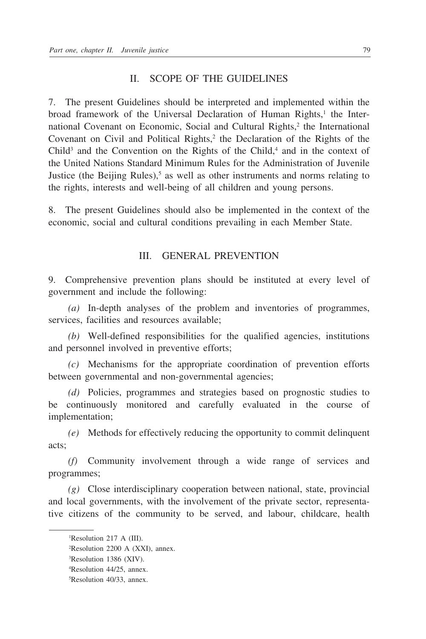### II. SCOPE OF THE GUIDELINES

7. The present Guidelines should be interpreted and implemented within the broad framework of the Universal Declaration of Human Rights,<sup>1</sup> the International Covenant on Economic, Social and Cultural Rights,<sup>2</sup> the International Covenant on Civil and Political Rights,<sup>2</sup> the Declaration of the Rights of the Child<sup>3</sup> and the Convention on the Rights of the Child,<sup>4</sup> and in the context of the United Nations Standard Minimum Rules for the Administration of Juvenile Justice (the Beijing Rules),<sup>5</sup> as well as other instruments and norms relating to the rights, interests and well-being of all children and young persons.

8. The present Guidelines should also be implemented in the context of the economic, social and cultural conditions prevailing in each Member State.

### III. GENERAL PREVENTION

9. Comprehensive prevention plans should be instituted at every level of government and include the following:

*(a)* In-depth analyses of the problem and inventories of programmes, services, facilities and resources available;

*(b)* Well-defined responsibilities for the qualified agencies, institutions and personnel involved in preventive efforts;

*(c)* Mechanisms for the appropriate coordination of prevention efforts between governmental and non-governmental agencies;

*(d)* Policies, programmes and strategies based on prognostic studies to be continuously monitored and carefully evaluated in the course of implementation;

*(e)* Methods for effectively reducing the opportunity to commit delinquent acts;

*(f)* Community involvement through a wide range of services and programmes;

*(g)* Close interdisciplinary cooperation between national, state, provincial and local governments, with the involvement of the private sector, representative citizens of the community to be served, and labour, childcare, health

<sup>1</sup> Resolution 217 A (III).

<sup>2</sup> Resolution 2200 A (XXI), annex.

<sup>3</sup> Resolution 1386 (XIV).

<sup>4</sup> Resolution 44/25, annex.

<sup>5</sup> Resolution 40/33, annex.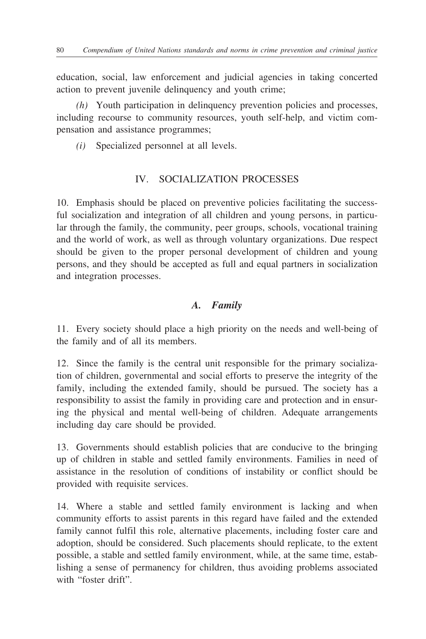education, social, law enforcement and judicial agencies in taking concerted action to prevent juvenile delinquency and youth crime;

*(h)* Youth participation in delinquency prevention policies and processes, including recourse to community resources, youth self-help, and victim compensation and assistance programmes;

*(i)* Specialized personnel at all levels.

# IV. SOCIALIZATION PROCESSES

10. Emphasis should be placed on preventive policies facilitating the successful socialization and integration of all children and young persons, in particular through the family, the community, peer groups, schools, vocational training and the world of work, as well as through voluntary organizations. Due respect should be given to the proper personal development of children and young persons, and they should be accepted as full and equal partners in socialization and integration processes.

# *A. Family*

11. Every society should place a high priority on the needs and well-being of the family and of all its members.

12. Since the family is the central unit responsible for the primary socialization of children, governmental and social efforts to preserve the integrity of the family, including the extended family, should be pursued. The society has a responsibility to assist the family in providing care and protection and in ensuring the physical and mental well-being of children. Adequate arrangements including day care should be provided.

13. Governments should establish policies that are conducive to the bringing up of children in stable and settled family environments. Families in need of assistance in the resolution of conditions of instability or conflict should be provided with requisite services.

14. Where a stable and settled family environment is lacking and when community efforts to assist parents in this regard have failed and the extended family cannot fulfil this role, alternative placements, including foster care and adoption, should be considered. Such placements should replicate, to the extent possible, a stable and settled family environment, while, at the same time, establishing a sense of permanency for children, thus avoiding problems associated with "foster drift".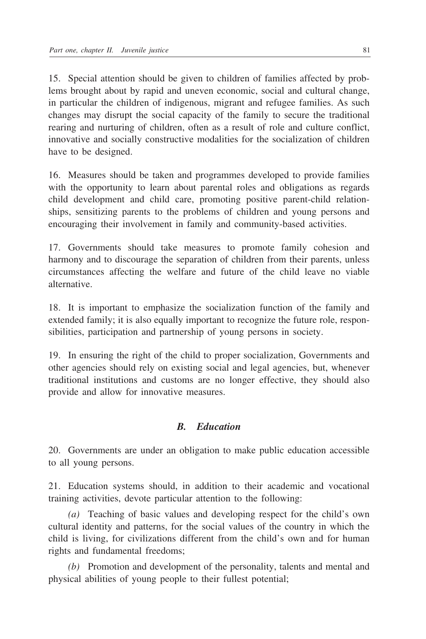15. Special attention should be given to children of families affected by problems brought about by rapid and uneven economic, social and cultural change, in particular the children of indigenous, migrant and refugee families. As such changes may disrupt the social capacity of the family to secure the traditional rearing and nurturing of children, often as a result of role and culture conflict, innovative and socially constructive modalities for the socialization of children have to be designed.

16. Measures should be taken and programmes developed to provide families with the opportunity to learn about parental roles and obligations as regards child development and child care, promoting positive parent-child relationships, sensitizing parents to the problems of children and young persons and encouraging their involvement in family and community-based activities.

17. Governments should take measures to promote family cohesion and harmony and to discourage the separation of children from their parents, unless circumstances affecting the welfare and future of the child leave no viable alternative.

18. It is important to emphasize the socialization function of the family and extended family; it is also equally important to recognize the future role, responsibilities, participation and partnership of young persons in society.

19. In ensuring the right of the child to proper socialization, Governments and other agencies should rely on existing social and legal agencies, but, whenever traditional institutions and customs are no longer effective, they should also provide and allow for innovative measures.

# *B. Education*

20. Governments are under an obligation to make public education accessible to all young persons.

21. Education systems should, in addition to their academic and vocational training activities, devote particular attention to the following:

*(a)* Teaching of basic values and developing respect for the child's own cultural identity and patterns, for the social values of the country in which the child is living, for civilizations different from the child's own and for human rights and fundamental freedoms;

*(b)* Promotion and development of the personality, talents and mental and physical abilities of young people to their fullest potential;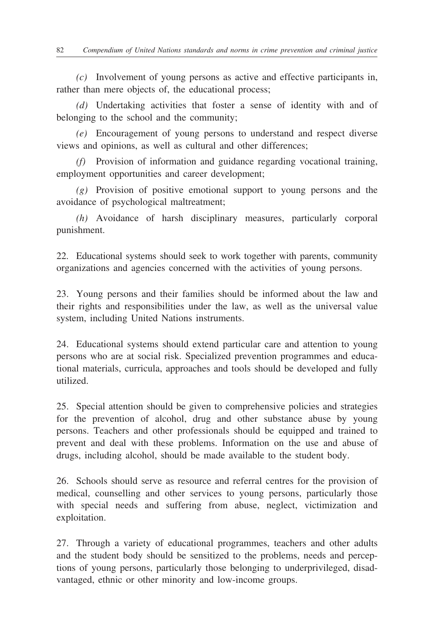*(c)* Involvement of young persons as active and effective participants in, rather than mere objects of, the educational process;

*(d)* Undertaking activities that foster a sense of identity with and of belonging to the school and the community;

*(e)* Encouragement of young persons to understand and respect diverse views and opinions, as well as cultural and other differences;

*(f)* Provision of information and guidance regarding vocational training, employment opportunities and career development;

*(g)* Provision of positive emotional support to young persons and the avoidance of psychological maltreatment;

*(h)* Avoidance of harsh disciplinary measures, particularly corporal punishment.

22. Educational systems should seek to work together with parents, community organizations and agencies concerned with the activities of young persons.

23. Young persons and their families should be informed about the law and their rights and responsibilities under the law, as well as the universal value system, including United Nations instruments.

24. Educational systems should extend particular care and attention to young persons who are at social risk. Specialized prevention programmes and educational materials, curricula, approaches and tools should be developed and fully utilized.

25. Special attention should be given to comprehensive policies and strategies for the prevention of alcohol, drug and other substance abuse by young persons. Teachers and other professionals should be equipped and trained to prevent and deal with these problems. Information on the use and abuse of drugs, including alcohol, should be made available to the student body.

26. Schools should serve as resource and referral centres for the provision of medical, counselling and other services to young persons, particularly those with special needs and suffering from abuse, neglect, victimization and exploitation.

27. Through a variety of educational programmes, teachers and other adults and the student body should be sensitized to the problems, needs and perceptions of young persons, particularly those belonging to underprivileged, disadvantaged, ethnic or other minority and low-income groups.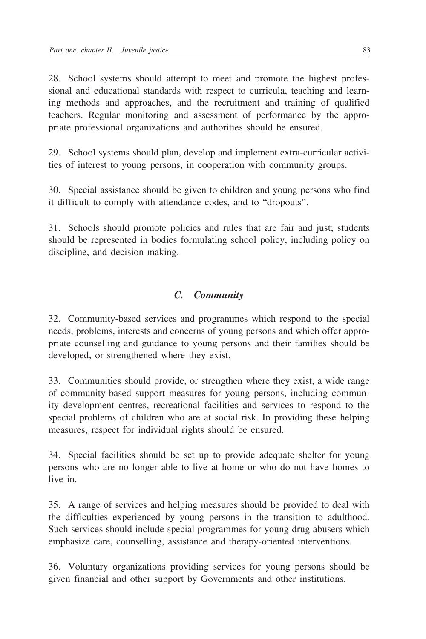28. School systems should attempt to meet and promote the highest professional and educational standards with respect to curricula, teaching and learning methods and approaches, and the recruitment and training of qualified teachers. Regular monitoring and assessment of performance by the appropriate professional organizations and authorities should be ensured.

29. School systems should plan, develop and implement extra-curricular activities of interest to young persons, in cooperation with community groups.

30. Special assistance should be given to children and young persons who find it difficult to comply with attendance codes, and to "dropouts".

31. Schools should promote policies and rules that are fair and just; students should be represented in bodies formulating school policy, including policy on discipline, and decision-making.

# *C. Community*

32. Community-based services and programmes which respond to the special needs, problems, interests and concerns of young persons and which offer appropriate counselling and guidance to young persons and their families should be developed, or strengthened where they exist.

33. Communities should provide, or strengthen where they exist, a wide range of community-based support measures for young persons, including community development centres, recreational facilities and services to respond to the special problems of children who are at social risk. In providing these helping measures, respect for individual rights should be ensured.

34. Special facilities should be set up to provide adequate shelter for young persons who are no longer able to live at home or who do not have homes to live in.

35. A range of services and helping measures should be provided to deal with the difficulties experienced by young persons in the transition to adulthood. Such services should include special programmes for young drug abusers which emphasize care, counselling, assistance and therapy-oriented interventions.

36. Voluntary organizations providing services for young persons should be given financial and other support by Governments and other institutions.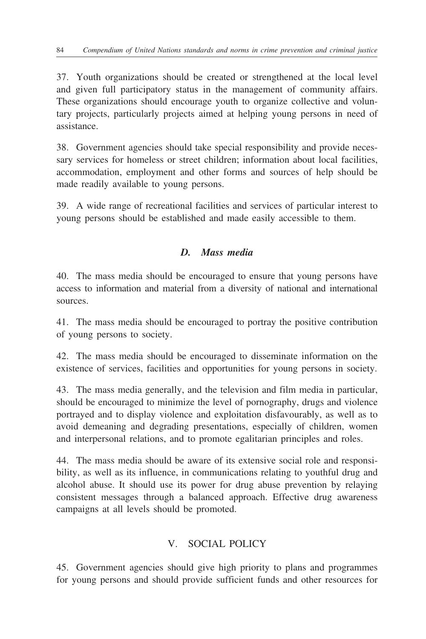37. Youth organizations should be created or strengthened at the local level and given full participatory status in the management of community affairs. These organizations should encourage youth to organize collective and voluntary projects, particularly projects aimed at helping young persons in need of assistance.

38. Government agencies should take special responsibility and provide necessary services for homeless or street children; information about local facilities, accommodation, employment and other forms and sources of help should be made readily available to young persons.

39. A wide range of recreational facilities and services of particular interest to young persons should be established and made easily accessible to them.

# *D. Mass media*

40. The mass media should be encouraged to ensure that young persons have access to information and material from a diversity of national and international sources.

41. The mass media should be encouraged to portray the positive contribution of young persons to society.

42. The mass media should be encouraged to disseminate information on the existence of services, facilities and opportunities for young persons in society.

43. The mass media generally, and the television and film media in particular, should be encouraged to minimize the level of pornography, drugs and violence portrayed and to display violence and exploitation disfavourably, as well as to avoid demeaning and degrading presentations, especially of children, women and interpersonal relations, and to promote egalitarian principles and roles.

44. The mass media should be aware of its extensive social role and responsibility, as well as its influence, in communications relating to youthful drug and alcohol abuse. It should use its power for drug abuse prevention by relaying consistent messages through a balanced approach. Effective drug awareness campaigns at all levels should be promoted.

# V. SOCIAL POLICY

45. Government agencies should give high priority to plans and programmes for young persons and should provide sufficient funds and other resources for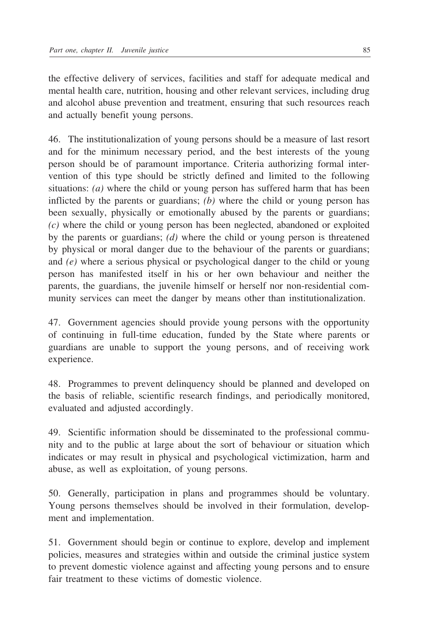the effective delivery of services, facilities and staff for adequate medical and mental health care, nutrition, housing and other relevant services, including drug and alcohol abuse prevention and treatment, ensuring that such resources reach and actually benefit young persons.

46. The institutionalization of young persons should be a measure of last resort and for the minimum necessary period, and the best interests of the young person should be of paramount importance. Criteria authorizing formal intervention of this type should be strictly defined and limited to the following situations: *(a)* where the child or young person has suffered harm that has been inflicted by the parents or guardians; *(b)* where the child or young person has been sexually, physically or emotionally abused by the parents or guardians; *(c)* where the child or young person has been neglected, abandoned or exploited by the parents or guardians; *(d)* where the child or young person is threatened by physical or moral danger due to the behaviour of the parents or guardians; and *(e)* where a serious physical or psychological danger to the child or young person has manifested itself in his or her own behaviour and neither the parents, the guardians, the juvenile himself or herself nor non-residential community services can meet the danger by means other than institutionalization.

47. Government agencies should provide young persons with the opportunity of continuing in full-time education, funded by the State where parents or guardians are unable to support the young persons, and of receiving work experience.

48. Programmes to prevent delinquency should be planned and developed on the basis of reliable, scientific research findings, and periodically monitored, evaluated and adjusted accordingly.

49. Scientific information should be disseminated to the professional community and to the public at large about the sort of behaviour or situation which indicates or may result in physical and psychological victimization, harm and abuse, as well as exploitation, of young persons.

50. Generally, participation in plans and programmes should be voluntary. Young persons themselves should be involved in their formulation, development and implementation.

51. Government should begin or continue to explore, develop and implement policies, measures and strategies within and outside the criminal justice system to prevent domestic violence against and affecting young persons and to ensure fair treatment to these victims of domestic violence.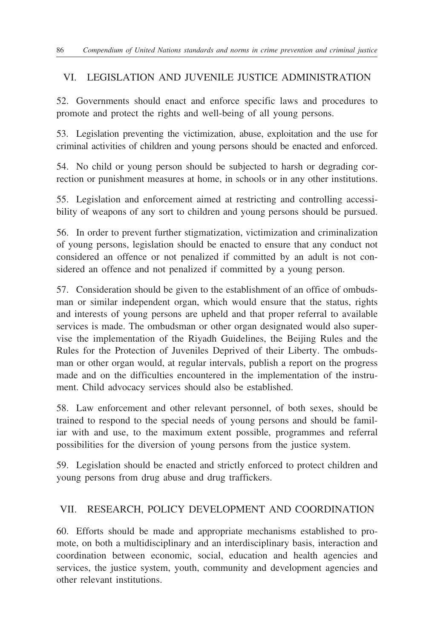# VI. LEGISLATION AND JUVENILE JUSTICE ADMINISTRATION

52. Governments should enact and enforce specific laws and procedures to promote and protect the rights and well-being of all young persons.

53. Legislation preventing the victimization, abuse, exploitation and the use for criminal activities of children and young persons should be enacted and enforced.

54. No child or young person should be subjected to harsh or degrading correction or punishment measures at home, in schools or in any other institutions.

55. Legislation and enforcement aimed at restricting and controlling accessibility of weapons of any sort to children and young persons should be pursued.

56. In order to prevent further stigmatization, victimization and criminalization of young persons, legislation should be enacted to ensure that any conduct not considered an offence or not penalized if committed by an adult is not considered an offence and not penalized if committed by a young person.

57. Consideration should be given to the establishment of an office of ombudsman or similar independent organ, which would ensure that the status, rights and interests of young persons are upheld and that proper referral to available services is made. The ombudsman or other organ designated would also supervise the implementation of the Riyadh Guidelines, the Beijing Rules and the Rules for the Protection of Juveniles Deprived of their Liberty. The ombudsman or other organ would, at regular intervals, publish a report on the progress made and on the difficulties encountered in the implementation of the instrument. Child advocacy services should also be established.

58. Law enforcement and other relevant personnel, of both sexes, should be trained to respond to the special needs of young persons and should be familiar with and use, to the maximum extent possible, programmes and referral possibilities for the diversion of young persons from the justice system.

59. Legislation should be enacted and strictly enforced to protect children and young persons from drug abuse and drug traffickers.

# VII. RESEARCH, POLICY DEVELOPMENT AND COORDINATION

60. Efforts should be made and appropriate mechanisms established to promote, on both a multidisciplinary and an interdisciplinary basis, interaction and coordination between economic, social, education and health agencies and services, the justice system, youth, community and development agencies and other relevant institutions.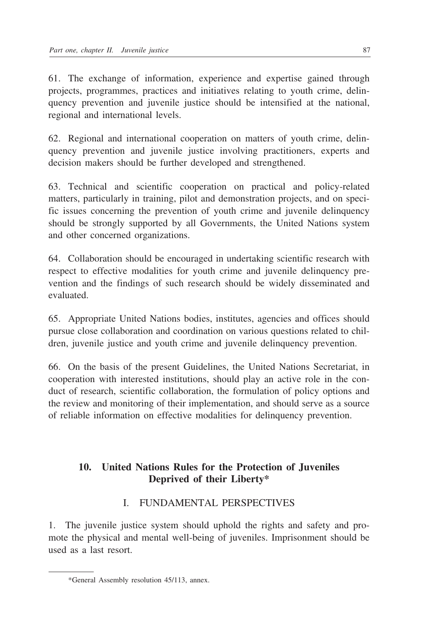61. The exchange of information, experience and expertise gained through projects, programmes, practices and initiatives relating to youth crime, delinquency prevention and juvenile justice should be intensified at the national, regional and international levels.

62. Regional and international cooperation on matters of youth crime, delinquency prevention and juvenile justice involving practitioners, experts and decision makers should be further developed and strengthened.

63. Technical and scientific cooperation on practical and policy-related matters, particularly in training, pilot and demonstration projects, and on specific issues concerning the prevention of youth crime and juvenile delinquency should be strongly supported by all Governments, the United Nations system and other concerned organizations.

64. Collaboration should be encouraged in undertaking scientific research with respect to effective modalities for youth crime and juvenile delinquency prevention and the findings of such research should be widely disseminated and evaluated.

65. Appropriate United Nations bodies, institutes, agencies and offices should pursue close collaboration and coordination on various questions related to children, juvenile justice and youth crime and juvenile delinquency prevention.

66. On the basis of the present Guidelines, the United Nations Secretariat, in cooperation with interested institutions, should play an active role in the conduct of research, scientific collaboration, the formulation of policy options and the review and monitoring of their implementation, and should serve as a source of reliable information on effective modalities for delinquency prevention.

# **10. United Nations Rules for the Protection of Juveniles Deprived of their Liberty\***

# I. FUNDAMENTAL PERSPECTIVES

1. The juvenile justice system should uphold the rights and safety and promote the physical and mental well-being of juveniles. Imprisonment should be used as a last resort.

<sup>\*</sup>General Assembly resolution 45/113, annex.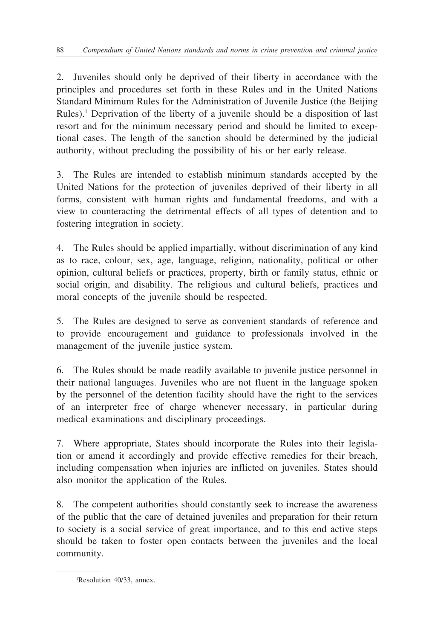2. Juveniles should only be deprived of their liberty in accordance with the principles and procedures set forth in these Rules and in the United Nations Standard Minimum Rules for the Administration of Juvenile Justice (the Beijing Rules).1 Deprivation of the liberty of a juvenile should be a disposition of last resort and for the minimum necessary period and should be limited to exceptional cases. The length of the sanction should be determined by the judicial authority, without precluding the possibility of his or her early release.

3. The Rules are intended to establish minimum standards accepted by the United Nations for the protection of juveniles deprived of their liberty in all forms, consistent with human rights and fundamental freedoms, and with a view to counteracting the detrimental effects of all types of detention and to fostering integration in society.

4. The Rules should be applied impartially, without discrimination of any kind as to race, colour, sex, age, language, religion, nationality, political or other opinion, cultural beliefs or practices, property, birth or family status, ethnic or social origin, and disability. The religious and cultural beliefs, practices and moral concepts of the juvenile should be respected.

5. The Rules are designed to serve as convenient standards of reference and to provide encouragement and guidance to professionals involved in the management of the juvenile justice system.

6. The Rules should be made readily available to juvenile justice personnel in their national languages. Juveniles who are not fluent in the language spoken by the personnel of the detention facility should have the right to the services of an interpreter free of charge whenever necessary, in particular during medical examinations and disciplinary proceedings.

7. Where appropriate, States should incorporate the Rules into their legislation or amend it accordingly and provide effective remedies for their breach, including compensation when injuries are inflicted on juveniles. States should also monitor the application of the Rules.

8. The competent authorities should constantly seek to increase the awareness of the public that the care of detained juveniles and preparation for their return to society is a social service of great importance, and to this end active steps should be taken to foster open contacts between the juveniles and the local community.

<sup>1</sup> Resolution 40/33, annex.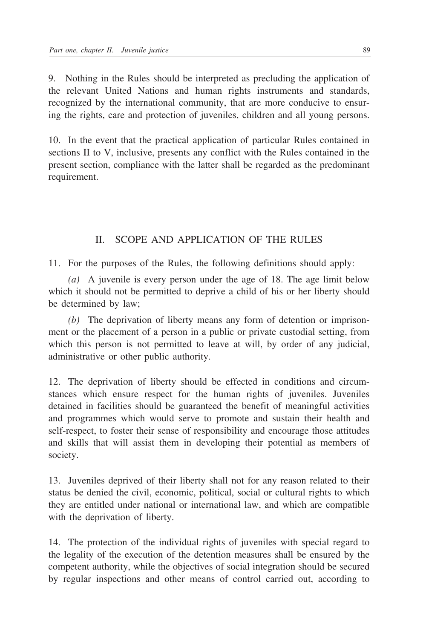9. Nothing in the Rules should be interpreted as precluding the application of the relevant United Nations and human rights instruments and standards, recognized by the international community, that are more conducive to ensuring the rights, care and protection of juveniles, children and all young persons.

10. In the event that the practical application of particular Rules contained in sections II to V, inclusive, presents any conflict with the Rules contained in the present section, compliance with the latter shall be regarded as the predominant requirement.

### II. SCOPE AND APPLICATION OF THE RULES

11. For the purposes of the Rules, the following definitions should apply:

*(a)* A juvenile is every person under the age of 18. The age limit below which it should not be permitted to deprive a child of his or her liberty should be determined by law;

*(b)* The deprivation of liberty means any form of detention or imprisonment or the placement of a person in a public or private custodial setting, from which this person is not permitted to leave at will, by order of any judicial, administrative or other public authority.

12. The deprivation of liberty should be effected in conditions and circumstances which ensure respect for the human rights of juveniles. Juveniles detained in facilities should be guaranteed the benefit of meaningful activities and programmes which would serve to promote and sustain their health and self-respect, to foster their sense of responsibility and encourage those attitudes and skills that will assist them in developing their potential as members of society.

13. Juveniles deprived of their liberty shall not for any reason related to their status be denied the civil, economic, political, social or cultural rights to which they are entitled under national or international law, and which are compatible with the deprivation of liberty.

14. The protection of the individual rights of juveniles with special regard to the legality of the execution of the detention measures shall be ensured by the competent authority, while the objectives of social integration should be secured by regular inspections and other means of control carried out, according to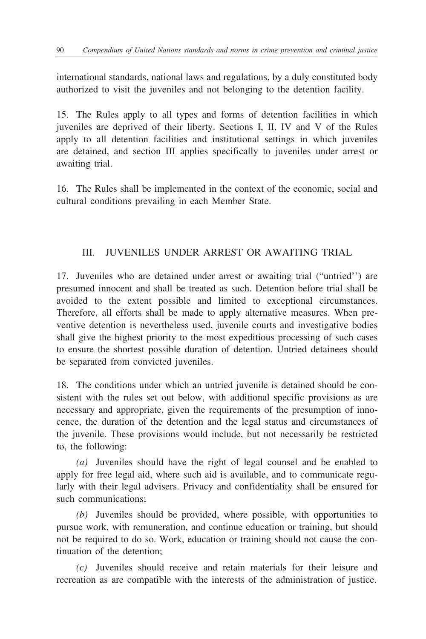international standards, national laws and regulations, by a duly constituted body authorized to visit the juveniles and not belonging to the detention facility.

15. The Rules apply to all types and forms of detention facilities in which juveniles are deprived of their liberty. Sections I, II, IV and V of the Rules apply to all detention facilities and institutional settings in which juveniles are detained, and section III applies specifically to juveniles under arrest or awaiting trial.

16. The Rules shall be implemented in the context of the economic, social and cultural conditions prevailing in each Member State.

# III. JUVENILES UNDER ARREST OR AWAITING TRIAL

17. Juveniles who are detained under arrest or awaiting trial ("untried'') are presumed innocent and shall be treated as such. Detention before trial shall be avoided to the extent possible and limited to exceptional circumstances. Therefore, all efforts shall be made to apply alternative measures. When preventive detention is nevertheless used, juvenile courts and investigative bodies shall give the highest priority to the most expeditious processing of such cases to ensure the shortest possible duration of detention. Untried detainees should be separated from convicted juveniles.

18. The conditions under which an untried juvenile is detained should be consistent with the rules set out below, with additional specific provisions as are necessary and appropriate, given the requirements of the presumption of innocence, the duration of the detention and the legal status and circumstances of the juvenile. These provisions would include, but not necessarily be restricted to, the following:

*(a)* Juveniles should have the right of legal counsel and be enabled to apply for free legal aid, where such aid is available, and to communicate regularly with their legal advisers. Privacy and confidentiality shall be ensured for such communications;

*(b)* Juveniles should be provided, where possible, with opportunities to pursue work, with remuneration, and continue education or training, but should not be required to do so. Work, education or training should not cause the continuation of the detention;

*(c)* Juveniles should receive and retain materials for their leisure and recreation as are compatible with the interests of the administration of justice.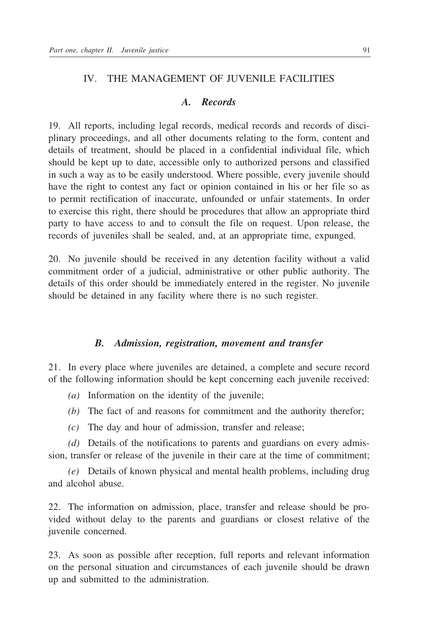### IV. THE MANAGEMENT OF JUVENILE FACILITIES

### *A. Records*

19. All reports, including legal records, medical records and records of disciplinary proceedings, and all other documents relating to the form, content and details of treatment, should be placed in a confidential individual file, which should be kept up to date, accessible only to authorized persons and classified in such a way as to be easily understood. Where possible, every juvenile should have the right to contest any fact or opinion contained in his or her file so as to permit rectification of inaccurate, unfounded or unfair statements. In order to exercise this right, there should be procedures that allow an appropriate third party to have access to and to consult the file on request. Upon release, the records of juveniles shall be sealed, and, at an appropriate time, expunged.

20. No juvenile should be received in any detention facility without a valid commitment order of a judicial, administrative or other public authority. The details of this order should be immediately entered in the register. No juvenile should be detained in any facility where there is no such register.

### *B. Admission, registration, movement and transfer*

21. In every place where juveniles are detained, a complete and secure record of the following information should be kept concerning each juvenile received:

- *(a)* Information on the identity of the juvenile;
- *(b)* The fact of and reasons for commitment and the authority therefor;
- *(c)* The day and hour of admission, transfer and release;

*(d)* Details of the notifications to parents and guardians on every admission, transfer or release of the juvenile in their care at the time of commitment;

*(e)* Details of known physical and mental health problems, including drug and alcohol abuse.

22. The information on admission, place, transfer and release should be provided without delay to the parents and guardians or closest relative of the juvenile concerned.

23. As soon as possible after reception, full reports and relevant information on the personal situation and circumstances of each juvenile should be drawn up and submitted to the administration.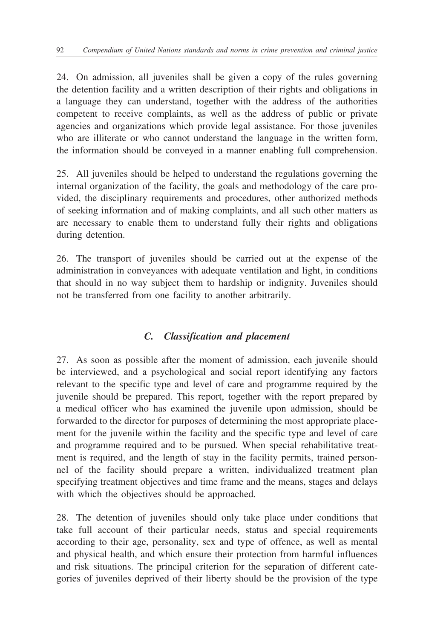24. On admission, all juveniles shall be given a copy of the rules governing the detention facility and a written description of their rights and obligations in a language they can understand, together with the address of the authorities competent to receive complaints, as well as the address of public or private agencies and organizations which provide legal assistance. For those juveniles who are illiterate or who cannot understand the language in the written form, the information should be conveyed in a manner enabling full comprehension.

25. All juveniles should be helped to understand the regulations governing the internal organization of the facility, the goals and methodology of the care provided, the disciplinary requirements and procedures, other authorized methods of seeking information and of making complaints, and all such other matters as are necessary to enable them to understand fully their rights and obligations during detention.

26. The transport of juveniles should be carried out at the expense of the administration in conveyances with adequate ventilation and light, in conditions that should in no way subject them to hardship or indignity. Juveniles should not be transferred from one facility to another arbitrarily.

# *C. Classification and placement*

27. As soon as possible after the moment of admission, each juvenile should be interviewed, and a psychological and social report identifying any factors relevant to the specific type and level of care and programme required by the juvenile should be prepared. This report, together with the report prepared by a medical officer who has examined the juvenile upon admission, should be forwarded to the director for purposes of determining the most appropriate placement for the juvenile within the facility and the specific type and level of care and programme required and to be pursued. When special rehabilitative treatment is required, and the length of stay in the facility permits, trained personnel of the facility should prepare a written, individualized treatment plan specifying treatment objectives and time frame and the means, stages and delays with which the objectives should be approached.

28. The detention of juveniles should only take place under conditions that take full account of their particular needs, status and special requirements according to their age, personality, sex and type of offence, as well as mental and physical health, and which ensure their protection from harmful influences and risk situations. The principal criterion for the separation of different categories of juveniles deprived of their liberty should be the provision of the type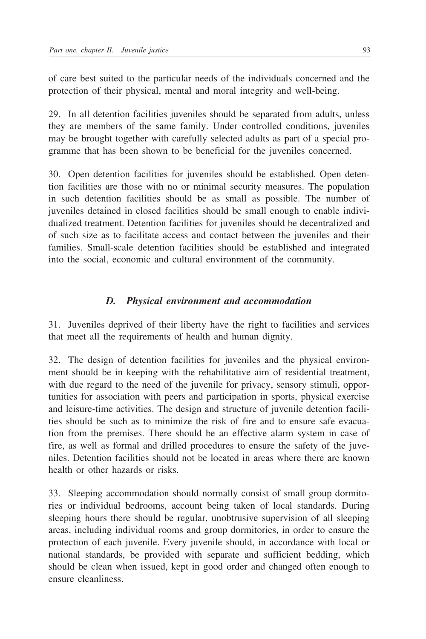of care best suited to the particular needs of the individuals concerned and the protection of their physical, mental and moral integrity and well-being.

29. In all detention facilities juveniles should be separated from adults, unless they are members of the same family. Under controlled conditions, juveniles may be brought together with carefully selected adults as part of a special programme that has been shown to be beneficial for the juveniles concerned.

30. Open detention facilities for juveniles should be established. Open detention facilities are those with no or minimal security measures. The population in such detention facilities should be as small as possible. The number of juveniles detained in closed facilities should be small enough to enable individualized treatment. Detention facilities for juveniles should be decentralized and of such size as to facilitate access and contact between the juveniles and their families. Small-scale detention facilities should be established and integrated into the social, economic and cultural environment of the community.

# *D. Physical environment and accommodation*

31. Juveniles deprived of their liberty have the right to facilities and services that meet all the requirements of health and human dignity.

32. The design of detention facilities for juveniles and the physical environment should be in keeping with the rehabilitative aim of residential treatment, with due regard to the need of the juvenile for privacy, sensory stimuli, opportunities for association with peers and participation in sports, physical exercise and leisure-time activities. The design and structure of juvenile detention facilities should be such as to minimize the risk of fire and to ensure safe evacuation from the premises. There should be an effective alarm system in case of fire, as well as formal and drilled procedures to ensure the safety of the juveniles. Detention facilities should not be located in areas where there are known health or other hazards or risks.

33. Sleeping accommodation should normally consist of small group dormitories or individual bedrooms, account being taken of local standards. During sleeping hours there should be regular, unobtrusive supervision of all sleeping areas, including individual rooms and group dormitories, in order to ensure the protection of each juvenile. Every juvenile should, in accordance with local or national standards, be provided with separate and sufficient bedding, which should be clean when issued, kept in good order and changed often enough to ensure cleanliness.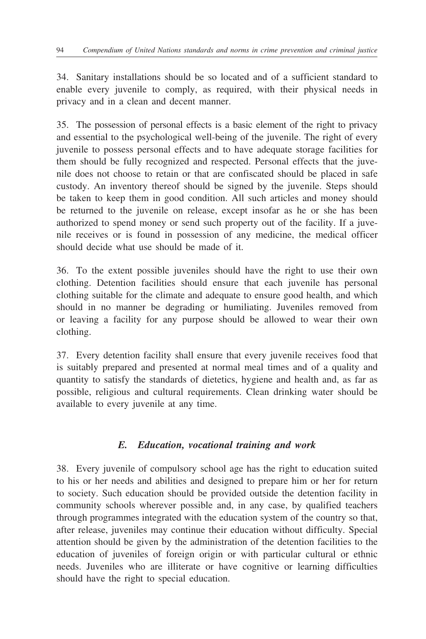34. Sanitary installations should be so located and of a sufficient standard to enable every juvenile to comply, as required, with their physical needs in privacy and in a clean and decent manner.

35. The possession of personal effects is a basic element of the right to privacy and essential to the psychological well-being of the juvenile. The right of every juvenile to possess personal effects and to have adequate storage facilities for them should be fully recognized and respected. Personal effects that the juvenile does not choose to retain or that are confiscated should be placed in safe custody. An inventory thereof should be signed by the juvenile. Steps should be taken to keep them in good condition. All such articles and money should be returned to the juvenile on release, except insofar as he or she has been authorized to spend money or send such property out of the facility. If a juvenile receives or is found in possession of any medicine, the medical officer should decide what use should be made of it.

36. To the extent possible juveniles should have the right to use their own clothing. Detention facilities should ensure that each juvenile has personal clothing suitable for the climate and adequate to ensure good health, and which should in no manner be degrading or humiliating. Juveniles removed from or leaving a facility for any purpose should be allowed to wear their own clothing.

37. Every detention facility shall ensure that every juvenile receives food that is suitably prepared and presented at normal meal times and of a quality and quantity to satisfy the standards of dietetics, hygiene and health and, as far as possible, religious and cultural requirements. Clean drinking water should be available to every juvenile at any time.

# *E. Education, vocational training and work*

38. Every juvenile of compulsory school age has the right to education suited to his or her needs and abilities and designed to prepare him or her for return to society. Such education should be provided outside the detention facility in community schools wherever possible and, in any case, by qualified teachers through programmes integrated with the education system of the country so that, after release, juveniles may continue their education without difficulty. Special attention should be given by the administration of the detention facilities to the education of juveniles of foreign origin or with particular cultural or ethnic needs. Juveniles who are illiterate or have cognitive or learning difficulties should have the right to special education.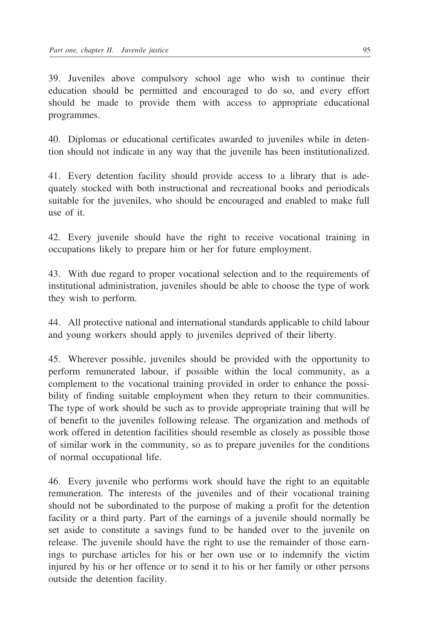39. Juveniles above compulsory school age who wish to continue their education should be permitted and encouraged to do so, and every effort should be made to provide them with access to appropriate educational programmes.

40. Diplomas or educational certificates awarded to juveniles while in detention should not indicate in any way that the juvenile has been institutionalized.

41. Every detention facility should provide access to a library that is adequately stocked with both instructional and recreational books and periodicals suitable for the juveniles, who should be encouraged and enabled to make full use of it.

42. Every juvenile should have the right to receive vocational training in occupations likely to prepare him or her for future employment.

43. With due regard to proper vocational selection and to the requirements of institutional administration, juveniles should be able to choose the type of work they wish to perform.

44. All protective national and international standards applicable to child labour and young workers should apply to juveniles deprived of their liberty.

45. Wherever possible, juveniles should be provided with the opportunity to perform remunerated labour, if possible within the local community, as a complement to the vocational training provided in order to enhance the possibility of finding suitable employment when they return to their communities. The type of work should be such as to provide appropriate training that will be of benefit to the juveniles following release. The organization and methods of work offered in detention facilities should resemble as closely as possible those of similar work in the community, so as to prepare juveniles for the conditions of normal occupational life.

46. Every juvenile who performs work should have the right to an equitable remuneration. The interests of the juveniles and of their vocational training should not be subordinated to the purpose of making a profit for the detention facility or a third party. Part of the earnings of a juvenile should normally be set aside to constitute a savings fund to be handed over to the juvenile on release. The juvenile should have the right to use the remainder of those earnings to purchase articles for his or her own use or to indemnify the victim injured by his or her offence or to send it to his or her family or other persons outside the detention facility.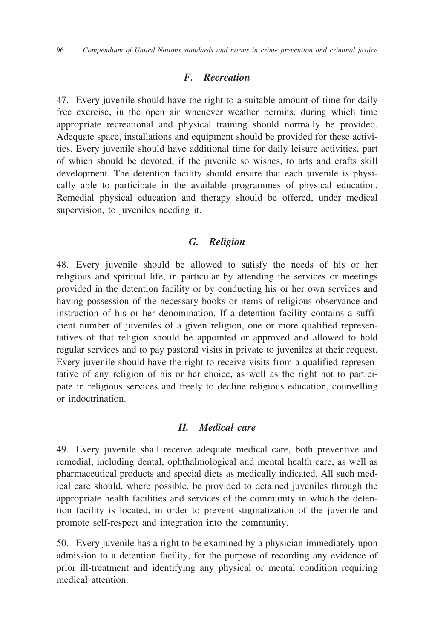### *F. Recreation*

47. Every juvenile should have the right to a suitable amount of time for daily free exercise, in the open air whenever weather permits, during which time appropriate recreational and physical training should normally be provided. Adequate space, installations and equipment should be provided for these activities. Every juvenile should have additional time for daily leisure activities, part of which should be devoted, if the juvenile so wishes, to arts and crafts skill development. The detention facility should ensure that each juvenile is physically able to participate in the available programmes of physical education. Remedial physical education and therapy should be offered, under medical supervision, to juveniles needing it.

### *G. Religion*

48. Every juvenile should be allowed to satisfy the needs of his or her religious and spiritual life, in particular by attending the services or meetings provided in the detention facility or by conducting his or her own services and having possession of the necessary books or items of religious observance and instruction of his or her denomination. If a detention facility contains a sufficient number of juveniles of a given religion, one or more qualified representatives of that religion should be appointed or approved and allowed to hold regular services and to pay pastoral visits in private to juveniles at their request. Every juvenile should have the right to receive visits from a qualified representative of any religion of his or her choice, as well as the right not to participate in religious services and freely to decline religious education, counselling or indoctrination.

### *H. Medical care*

49. Every juvenile shall receive adequate medical care, both preventive and remedial, including dental, ophthalmological and mental health care, as well as pharmaceutical products and special diets as medically indicated. All such medical care should, where possible, be provided to detained juveniles through the appropriate health facilities and services of the community in which the detention facility is located, in order to prevent stigmatization of the juvenile and promote self-respect and integration into the community.

50. Every juvenile has a right to be examined by a physician immediately upon admission to a detention facility, for the purpose of recording any evidence of prior ill-treatment and identifying any physical or mental condition requiring medical attention.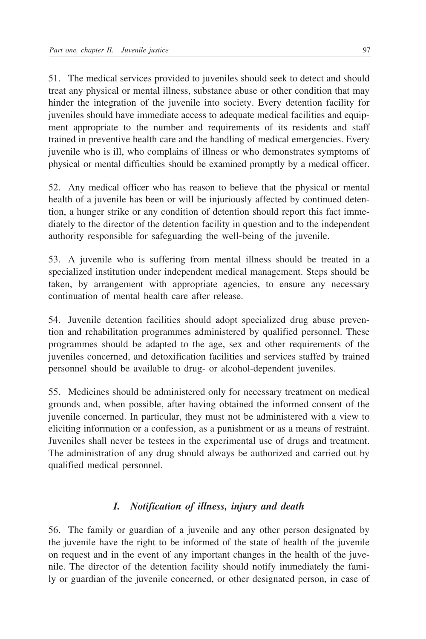51. The medical services provided to juveniles should seek to detect and should treat any physical or mental illness, substance abuse or other condition that may hinder the integration of the juvenile into society. Every detention facility for juveniles should have immediate access to adequate medical facilities and equipment appropriate to the number and requirements of its residents and staff trained in preventive health care and the handling of medical emergencies. Every juvenile who is ill, who complains of illness or who demonstrates symptoms of physical or mental difficulties should be examined promptly by a medical officer.

52. Any medical officer who has reason to believe that the physical or mental health of a juvenile has been or will be injuriously affected by continued detention, a hunger strike or any condition of detention should report this fact immediately to the director of the detention facility in question and to the independent authority responsible for safeguarding the well-being of the juvenile.

53. A juvenile who is suffering from mental illness should be treated in a specialized institution under independent medical management. Steps should be taken, by arrangement with appropriate agencies, to ensure any necessary continuation of mental health care after release.

54. Juvenile detention facilities should adopt specialized drug abuse prevention and rehabilitation programmes administered by qualified personnel. These programmes should be adapted to the age, sex and other requirements of the juveniles concerned, and detoxification facilities and services staffed by trained personnel should be available to drug- or alcohol-dependent juveniles.

55. Medicines should be administered only for necessary treatment on medical grounds and, when possible, after having obtained the informed consent of the juvenile concerned. In particular, they must not be administered with a view to eliciting information or a confession, as a punishment or as a means of restraint. Juveniles shall never be testees in the experimental use of drugs and treatment. The administration of any drug should always be authorized and carried out by qualified medical personnel.

### *I. Notification of illness, injury and death*

56. The family or guardian of a juvenile and any other person designated by the juvenile have the right to be informed of the state of health of the juvenile on request and in the event of any important changes in the health of the juvenile. The director of the detention facility should notify immediately the family or guardian of the juvenile concerned, or other designated person, in case of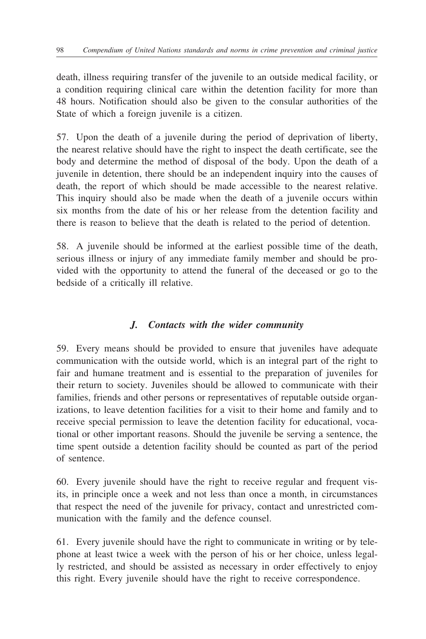death, illness requiring transfer of the juvenile to an outside medical facility, or a condition requiring clinical care within the detention facility for more than 48 hours. Notification should also be given to the consular authorities of the State of which a foreign juvenile is a citizen.

57. Upon the death of a juvenile during the period of deprivation of liberty, the nearest relative should have the right to inspect the death certificate, see the body and determine the method of disposal of the body. Upon the death of a juvenile in detention, there should be an independent inquiry into the causes of death, the report of which should be made accessible to the nearest relative. This inquiry should also be made when the death of a juvenile occurs within six months from the date of his or her release from the detention facility and there is reason to believe that the death is related to the period of detention.

58. A juvenile should be informed at the earliest possible time of the death, serious illness or injury of any immediate family member and should be provided with the opportunity to attend the funeral of the deceased or go to the bedside of a critically ill relative.

# *J. Contacts with the wider community*

59. Every means should be provided to ensure that juveniles have adequate communication with the outside world, which is an integral part of the right to fair and humane treatment and is essential to the preparation of juveniles for their return to society. Juveniles should be allowed to communicate with their families, friends and other persons or representatives of reputable outside organizations, to leave detention facilities for a visit to their home and family and to receive special permission to leave the detention facility for educational, vocational or other important reasons. Should the juvenile be serving a sentence, the time spent outside a detention facility should be counted as part of the period of sentence.

60. Every juvenile should have the right to receive regular and frequent visits, in principle once a week and not less than once a month, in circumstances that respect the need of the juvenile for privacy, contact and unrestricted communication with the family and the defence counsel.

61. Every juvenile should have the right to communicate in writing or by telephone at least twice a week with the person of his or her choice, unless legally restricted, and should be assisted as necessary in order effectively to enjoy this right. Every juvenile should have the right to receive correspondence.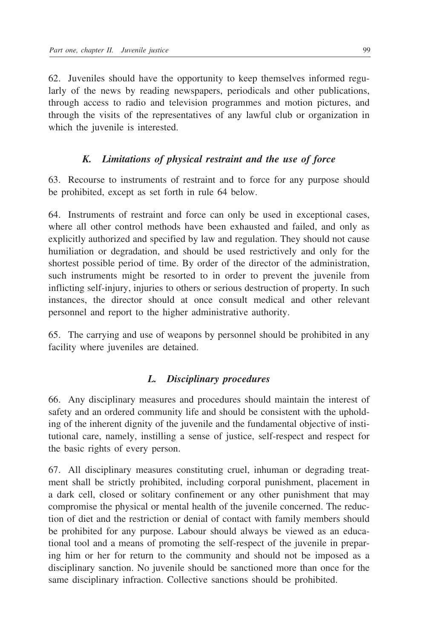62. Juveniles should have the opportunity to keep themselves informed regularly of the news by reading newspapers, periodicals and other publications, through access to radio and television programmes and motion pictures, and through the visits of the representatives of any lawful club or organization in which the juvenile is interested.

# *K. Limitations of physical restraint and the use of force*

63. Recourse to instruments of restraint and to force for any purpose should be prohibited, except as set forth in rule 64 below.

64. Instruments of restraint and force can only be used in exceptional cases, where all other control methods have been exhausted and failed, and only as explicitly authorized and specified by law and regulation. They should not cause humiliation or degradation, and should be used restrictively and only for the shortest possible period of time. By order of the director of the administration, such instruments might be resorted to in order to prevent the juvenile from inflicting self-injury, injuries to others or serious destruction of property. In such instances, the director should at once consult medical and other relevant personnel and report to the higher administrative authority.

65. The carrying and use of weapons by personnel should be prohibited in any facility where juveniles are detained.

### *L. Disciplinary procedures*

66. Any disciplinary measures and procedures should maintain the interest of safety and an ordered community life and should be consistent with the upholding of the inherent dignity of the juvenile and the fundamental objective of institutional care, namely, instilling a sense of justice, self-respect and respect for the basic rights of every person.

67. All disciplinary measures constituting cruel, inhuman or degrading treatment shall be strictly prohibited, including corporal punishment, placement in a dark cell, closed or solitary confinement or any other punishment that may compromise the physical or mental health of the juvenile concerned. The reduction of diet and the restriction or denial of contact with family members should be prohibited for any purpose. Labour should always be viewed as an educational tool and a means of promoting the self-respect of the juvenile in preparing him or her for return to the community and should not be imposed as a disciplinary sanction. No juvenile should be sanctioned more than once for the same disciplinary infraction. Collective sanctions should be prohibited.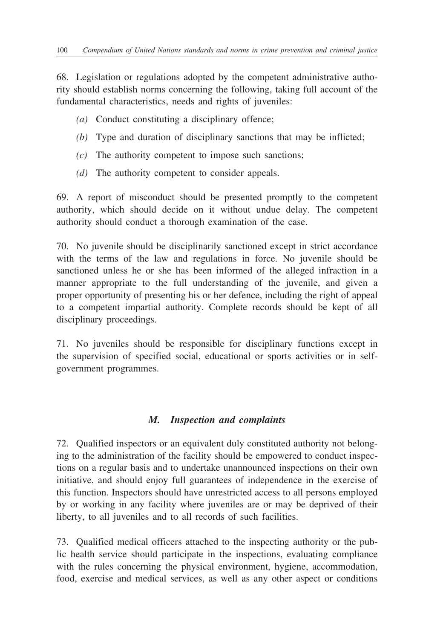68. Legislation or regulations adopted by the competent administrative authority should establish norms concerning the following, taking full account of the fundamental characteristics, needs and rights of juveniles:

- *(a)* Conduct constituting a disciplinary offence;
- *(b)* Type and duration of disciplinary sanctions that may be inflicted;
- *(c)* The authority competent to impose such sanctions;
- *(d)* The authority competent to consider appeals.

69. A report of misconduct should be presented promptly to the competent authority, which should decide on it without undue delay. The competent authority should conduct a thorough examination of the case.

70. No juvenile should be disciplinarily sanctioned except in strict accordance with the terms of the law and regulations in force. No juvenile should be sanctioned unless he or she has been informed of the alleged infraction in a manner appropriate to the full understanding of the juvenile, and given a proper opportunity of presenting his or her defence, including the right of appeal to a competent impartial authority. Complete records should be kept of all disciplinary proceedings.

71. No juveniles should be responsible for disciplinary functions except in the supervision of specified social, educational or sports activities or in selfgovernment programmes.

# *M. Inspection and complaints*

72. Qualified inspectors or an equivalent duly constituted authority not belonging to the administration of the facility should be empowered to conduct inspections on a regular basis and to undertake unannounced inspections on their own initiative, and should enjoy full guarantees of independence in the exercise of this function. Inspectors should have unrestricted access to all persons employed by or working in any facility where juveniles are or may be deprived of their liberty, to all juveniles and to all records of such facilities.

73. Qualified medical officers attached to the inspecting authority or the public health service should participate in the inspections, evaluating compliance with the rules concerning the physical environment, hygiene, accommodation, food, exercise and medical services, as well as any other aspect or conditions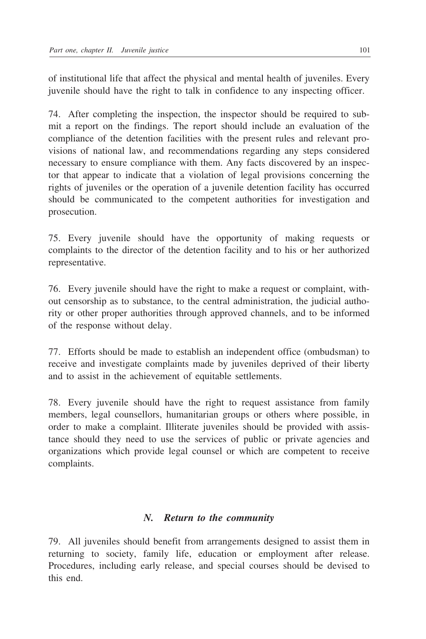of institutional life that affect the physical and mental health of juveniles. Every juvenile should have the right to talk in confidence to any inspecting officer.

74. After completing the inspection, the inspector should be required to submit a report on the findings. The report should include an evaluation of the compliance of the detention facilities with the present rules and relevant provisions of national law, and recommendations regarding any steps considered necessary to ensure compliance with them. Any facts discovered by an inspector that appear to indicate that a violation of legal provisions concerning the rights of juveniles or the operation of a juvenile detention facility has occurred should be communicated to the competent authorities for investigation and prosecution.

75. Every juvenile should have the opportunity of making requests or complaints to the director of the detention facility and to his or her authorized representative.

76. Every juvenile should have the right to make a request or complaint, without censorship as to substance, to the central administration, the judicial authority or other proper authorities through approved channels, and to be informed of the response without delay.

77. Efforts should be made to establish an independent office (ombudsman) to receive and investigate complaints made by juveniles deprived of their liberty and to assist in the achievement of equitable settlements.

78. Every juvenile should have the right to request assistance from family members, legal counsellors, humanitarian groups or others where possible, in order to make a complaint. Illiterate juveniles should be provided with assistance should they need to use the services of public or private agencies and organizations which provide legal counsel or which are competent to receive complaints.

### *N. Return to the community*

79. All juveniles should benefit from arrangements designed to assist them in returning to society, family life, education or employment after release. Procedures, including early release, and special courses should be devised to this end.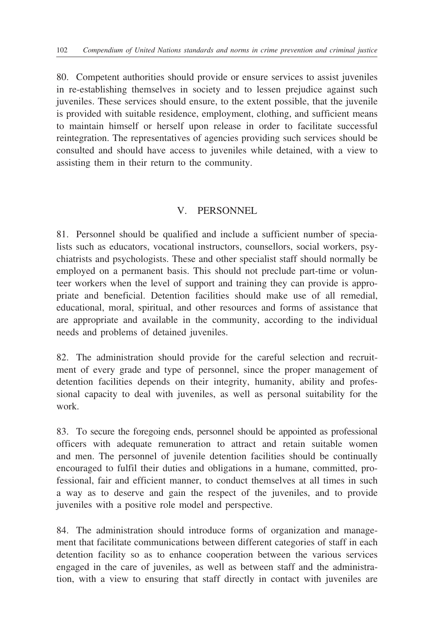80. Competent authorities should provide or ensure services to assist juveniles in re-establishing themselves in society and to lessen prejudice against such juveniles. These services should ensure, to the extent possible, that the juvenile is provided with suitable residence, employment, clothing, and sufficient means to maintain himself or herself upon release in order to facilitate successful reintegration. The representatives of agencies providing such services should be consulted and should have access to juveniles while detained, with a view to assisting them in their return to the community.

# V. PERSONNEL

81. Personnel should be qualified and include a sufficient number of specialists such as educators, vocational instructors, counsellors, social workers, psychiatrists and psychologists. These and other specialist staff should normally be employed on a permanent basis. This should not preclude part-time or volunteer workers when the level of support and training they can provide is appropriate and beneficial. Detention facilities should make use of all remedial, educational, moral, spiritual, and other resources and forms of assistance that are appropriate and available in the community, according to the individual needs and problems of detained juveniles.

82. The administration should provide for the careful selection and recruitment of every grade and type of personnel, since the proper management of detention facilities depends on their integrity, humanity, ability and professional capacity to deal with juveniles, as well as personal suitability for the work.

83. To secure the foregoing ends, personnel should be appointed as professional officers with adequate remuneration to attract and retain suitable women and men. The personnel of juvenile detention facilities should be continually encouraged to fulfil their duties and obligations in a humane, committed, professional, fair and efficient manner, to conduct themselves at all times in such a way as to deserve and gain the respect of the juveniles, and to provide juveniles with a positive role model and perspective.

84. The administration should introduce forms of organization and management that facilitate communications between different categories of staff in each detention facility so as to enhance cooperation between the various services engaged in the care of juveniles, as well as between staff and the administration, with a view to ensuring that staff directly in contact with juveniles are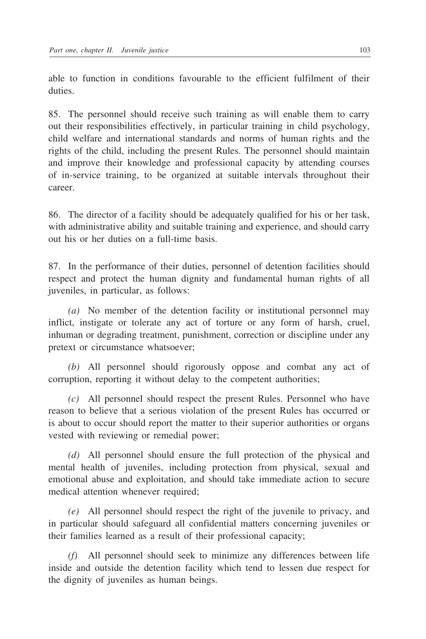able to function in conditions favourable to the efficient fulfilment of their duties.

85. The personnel should receive such training as will enable them to carry out their responsibilities effectively, in particular training in child psychology, child welfare and international standards and norms of human rights and the rights of the child, including the present Rules. The personnel should maintain and improve their knowledge and professional capacity by attending courses of in-service training, to be organized at suitable intervals throughout their career.

86. The director of a facility should be adequately qualified for his or her task, with administrative ability and suitable training and experience, and should carry out his or her duties on a full-time basis.

87. In the performance of their duties, personnel of detention facilities should respect and protect the human dignity and fundamental human rights of all juveniles, in particular, as follows:

*(a)* No member of the detention facility or institutional personnel may inflict, instigate or tolerate any act of torture or any form of harsh, cruel, inhuman or degrading treatment, punishment, correction or discipline under any pretext or circumstance whatsoever;

*(b)* All personnel should rigorously oppose and combat any act of corruption, reporting it without delay to the competent authorities;

*(c)* All personnel should respect the present Rules. Personnel who have reason to believe that a serious violation of the present Rules has occurred or is about to occur should report the matter to their superior authorities or organs vested with reviewing or remedial power;

*(d)* All personnel should ensure the full protection of the physical and mental health of juveniles, including protection from physical, sexual and emotional abuse and exploitation, and should take immediate action to secure medical attention whenever required;

*(e)* All personnel should respect the right of the juvenile to privacy, and in particular should safeguard all confidential matters concerning juveniles or their families learned as a result of their professional capacity;

*(f)* All personnel should seek to minimize any differences between life inside and outside the detention facility which tend to lessen due respect for the dignity of juveniles as human beings.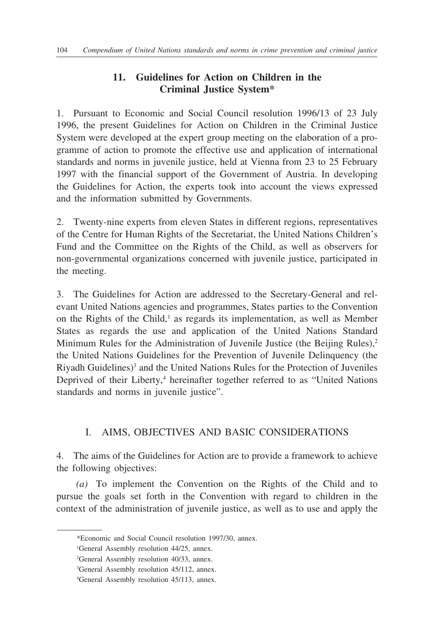# **11. Guidelines for Action on Children in the Criminal Justice System\***

1. Pursuant to Economic and Social Council resolution 1996/13 of 23 July 1996, the present Guidelines for Action on Children in the Criminal Justice System were developed at the expert group meeting on the elaboration of a programme of action to promote the effective use and application of international standards and norms in juvenile justice, held at Vienna from 23 to 25 February 1997 with the financial support of the Government of Austria. In developing the Guidelines for Action, the experts took into account the views expressed and the information submitted by Governments.

2. Twenty-nine experts from eleven States in different regions, representatives of the Centre for Human Rights of the Secretariat, the United Nations Children's Fund and the Committee on the Rights of the Child, as well as observers for non-governmental organizations concerned with juvenile justice, participated in the meeting.

3. The Guidelines for Action are addressed to the Secretary-General and relevant United Nations agencies and programmes, States parties to the Convention on the Rights of the Child, $<sup>1</sup>$  as regards its implementation, as well as Member</sup> States as regards the use and application of the United Nations Standard Minimum Rules for the Administration of Juvenile Justice (the Beijing Rules), $2$ the United Nations Guidelines for the Prevention of Juvenile Delinquency (the Riyadh Guidelines)<sup>3</sup> and the United Nations Rules for the Protection of Juveniles Deprived of their Liberty,<sup>4</sup> hereinafter together referred to as "United Nations" standards and norms in juvenile justice".

# I. AIMS, OBJECTIVES AND BASIC CONSIDERATIONS

4. The aims of the Guidelines for Action are to provide a framework to achieve the following objectives:

*(a)* To implement the Convention on the Rights of the Child and to pursue the goals set forth in the Convention with regard to children in the context of the administration of juvenile justice, as well as to use and apply the

<sup>\*</sup>Economic and Social Council resolution 1997/30, annex.

<sup>1</sup> General Assembly resolution 44/25, annex.

<sup>2</sup> General Assembly resolution 40/33, annex.

<sup>3</sup> General Assembly resolution 45/112, annex.

<sup>4</sup> General Assembly resolution 45/113, annex.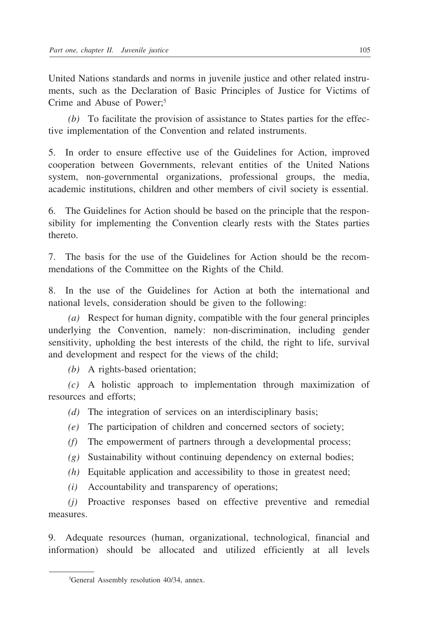United Nations standards and norms in juvenile justice and other related instruments, such as the Declaration of Basic Principles of Justice for Victims of Crime and Abuse of Power:<sup>5</sup>

*(b)* To facilitate the provision of assistance to States parties for the effective implementation of the Convention and related instruments.

5. In order to ensure effective use of the Guidelines for Action, improved cooperation between Governments, relevant entities of the United Nations system, non-governmental organizations, professional groups, the media, academic institutions, children and other members of civil society is essential.

6. The Guidelines for Action should be based on the principle that the responsibility for implementing the Convention clearly rests with the States parties thereto.

7. The basis for the use of the Guidelines for Action should be the recommendations of the Committee on the Rights of the Child.

8. In the use of the Guidelines for Action at both the international and national levels, consideration should be given to the following:

*(a)* Respect for human dignity, compatible with the four general principles underlying the Convention, namely: non-discrimination, including gender sensitivity, upholding the best interests of the child, the right to life, survival and development and respect for the views of the child;

*(b)* A rights-based orientation;

*(c)* A holistic approach to implementation through maximization of resources and efforts;

*(d)* The integration of services on an interdisciplinary basis;

- *(e)* The participation of children and concerned sectors of society;
- *(f)* The empowerment of partners through a developmental process;
- *(g)* Sustainability without continuing dependency on external bodies;
- *(h)* Equitable application and accessibility to those in greatest need;
- *(i)* Accountability and transparency of operations;

*(j)* Proactive responses based on effective preventive and remedial measures.

9. Adequate resources (human, organizational, technological, financial and information) should be allocated and utilized efficiently at all levels

<sup>5</sup> General Assembly resolution 40/34, annex.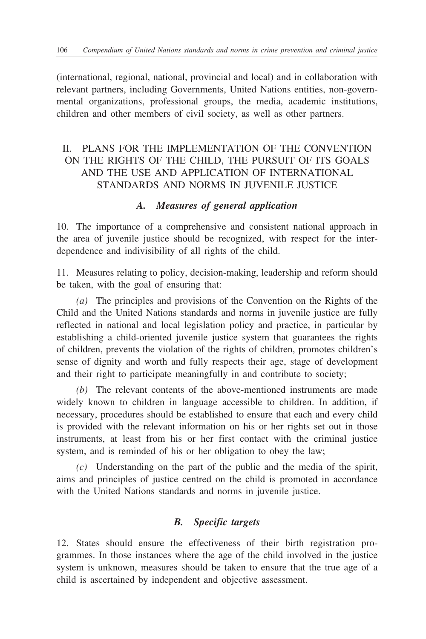(international, regional, national, provincial and local) and in collaboration with relevant partners, including Governments, United Nations entities, non-governmental organizations, professional groups, the media, academic institutions, children and other members of civil society, as well as other partners.

# II. PLANS FOR THE IMPLEMENTATION OF THE CONVENTION ON THE RIGHTS OF THE CHILD, THE PURSUIT OF ITS GOALS AND THE USE AND APPLICATION OF INTERNATIONAL STANDARDS AND NORMS IN JUVENILE JUSTICE

# *A. Measures of general application*

10. The importance of a comprehensive and consistent national approach in the area of juvenile justice should be recognized, with respect for the interdependence and indivisibility of all rights of the child.

11. Measures relating to policy, decision-making, leadership and reform should be taken, with the goal of ensuring that:

*(a)* The principles and provisions of the Convention on the Rights of the Child and the United Nations standards and norms in juvenile justice are fully reflected in national and local legislation policy and practice, in particular by establishing a child-oriented juvenile justice system that guarantees the rights of children, prevents the violation of the rights of children, promotes children's sense of dignity and worth and fully respects their age, stage of development and their right to participate meaningfully in and contribute to society;

*(b)* The relevant contents of the above-mentioned instruments are made widely known to children in language accessible to children. In addition, if necessary, procedures should be established to ensure that each and every child is provided with the relevant information on his or her rights set out in those instruments, at least from his or her first contact with the criminal justice system, and is reminded of his or her obligation to obey the law;

*(c)* Understanding on the part of the public and the media of the spirit, aims and principles of justice centred on the child is promoted in accordance with the United Nations standards and norms in juvenile justice.

### *B. Specific targets*

12. States should ensure the effectiveness of their birth registration programmes. In those instances where the age of the child involved in the justice system is unknown, measures should be taken to ensure that the true age of a child is ascertained by independent and objective assessment.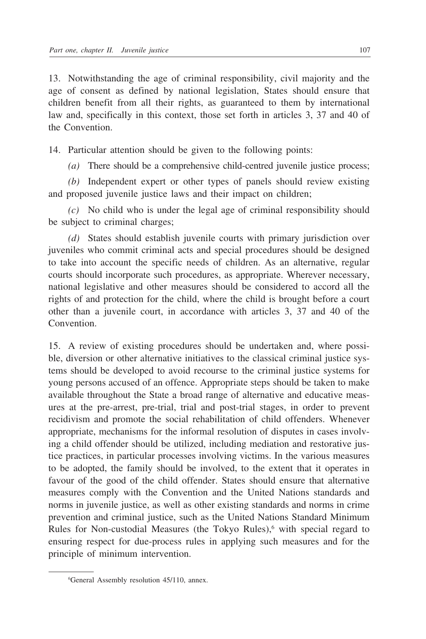13. Notwithstanding the age of criminal responsibility, civil majority and the age of consent as defined by national legislation, States should ensure that children benefit from all their rights, as guaranteed to them by international law and, specifically in this context, those set forth in articles 3, 37 and 40 of the Convention.

14. Particular attention should be given to the following points:

*(a)* There should be a comprehensive child-centred juvenile justice process;

*(b)* Independent expert or other types of panels should review existing and proposed juvenile justice laws and their impact on children;

*(c)* No child who is under the legal age of criminal responsibility should be subject to criminal charges;

*(d)* States should establish juvenile courts with primary jurisdiction over juveniles who commit criminal acts and special procedures should be designed to take into account the specific needs of children. As an alternative, regular courts should incorporate such procedures, as appropriate. Wherever necessary, national legislative and other measures should be considered to accord all the rights of and protection for the child, where the child is brought before a court other than a juvenile court, in accordance with articles 3, 37 and 40 of the **Convention** 

15. A review of existing procedures should be undertaken and, where possible, diversion or other alternative initiatives to the classical criminal justice systems should be developed to avoid recourse to the criminal justice systems for young persons accused of an offence. Appropriate steps should be taken to make available throughout the State a broad range of alternative and educative measures at the pre-arrest, pre-trial, trial and post-trial stages, in order to prevent recidivism and promote the social rehabilitation of child offenders. Whenever appropriate, mechanisms for the informal resolution of disputes in cases involving a child offender should be utilized, including mediation and restorative justice practices, in particular processes involving victims. In the various measures to be adopted, the family should be involved, to the extent that it operates in favour of the good of the child offender. States should ensure that alternative measures comply with the Convention and the United Nations standards and norms in juvenile justice, as well as other existing standards and norms in crime prevention and criminal justice, such as the United Nations Standard Minimum Rules for Non-custodial Measures (the Tokyo Rules),<sup>6</sup> with special regard to ensuring respect for due-process rules in applying such measures and for the principle of minimum intervention.

<sup>6</sup> General Assembly resolution 45/110, annex.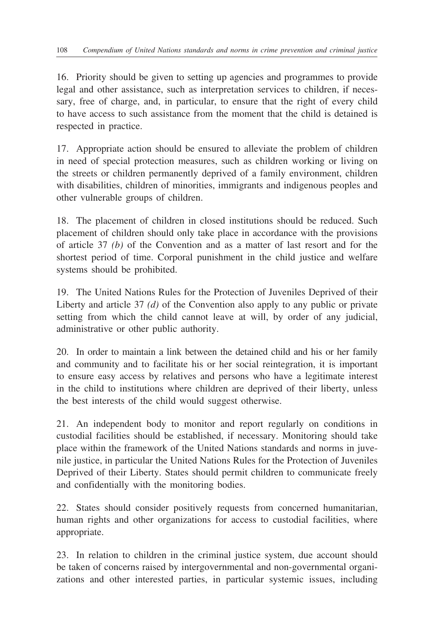16. Priority should be given to setting up agencies and programmes to provide legal and other assistance, such as interpretation services to children, if necessary, free of charge, and, in particular, to ensure that the right of every child to have access to such assistance from the moment that the child is detained is respected in practice.

17. Appropriate action should be ensured to alleviate the problem of children in need of special protection measures, such as children working or living on the streets or children permanently deprived of a family environment, children with disabilities, children of minorities, immigrants and indigenous peoples and other vulnerable groups of children.

18. The placement of children in closed institutions should be reduced. Such placement of children should only take place in accordance with the provisions of article 37 *(b)* of the Convention and as a matter of last resort and for the shortest period of time. Corporal punishment in the child justice and welfare systems should be prohibited.

19. The United Nations Rules for the Protection of Juveniles Deprived of their Liberty and article 37 *(d)* of the Convention also apply to any public or private setting from which the child cannot leave at will, by order of any judicial, administrative or other public authority.

20. In order to maintain a link between the detained child and his or her family and community and to facilitate his or her social reintegration, it is important to ensure easy access by relatives and persons who have a legitimate interest in the child to institutions where children are deprived of their liberty, unless the best interests of the child would suggest otherwise.

21. An independent body to monitor and report regularly on conditions in custodial facilities should be established, if necessary. Monitoring should take place within the framework of the United Nations standards and norms in juvenile justice, in particular the United Nations Rules for the Protection of Juveniles Deprived of their Liberty. States should permit children to communicate freely and confidentially with the monitoring bodies.

22. States should consider positively requests from concerned humanitarian, human rights and other organizations for access to custodial facilities, where appropriate.

23. In relation to children in the criminal justice system, due account should be taken of concerns raised by intergovernmental and non-governmental organizations and other interested parties, in particular systemic issues, including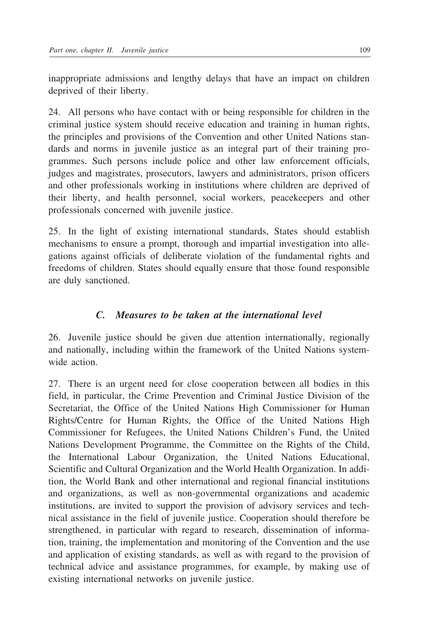inappropriate admissions and lengthy delays that have an impact on children deprived of their liberty.

24. All persons who have contact with or being responsible for children in the criminal justice system should receive education and training in human rights, the principles and provisions of the Convention and other United Nations standards and norms in juvenile justice as an integral part of their training programmes. Such persons include police and other law enforcement officials, judges and magistrates, prosecutors, lawyers and administrators, prison officers and other professionals working in institutions where children are deprived of their liberty, and health personnel, social workers, peacekeepers and other professionals concerned with juvenile justice.

25. In the light of existing international standards, States should establish mechanisms to ensure a prompt, thorough and impartial investigation into allegations against officials of deliberate violation of the fundamental rights and freedoms of children. States should equally ensure that those found responsible are duly sanctioned.

## *C. Measures to be taken at the international level*

26. Juvenile justice should be given due attention internationally, regionally and nationally, including within the framework of the United Nations systemwide action.

27. There is an urgent need for close cooperation between all bodies in this field, in particular, the Crime Prevention and Criminal Justice Division of the Secretariat, the Office of the United Nations High Commissioner for Human Rights/Centre for Human Rights, the Office of the United Nations High Commissioner for Refugees, the United Nations Children's Fund, the United Nations Development Programme, the Committee on the Rights of the Child, the International Labour Organization, the United Nations Educational, Scientific and Cultural Organization and the World Health Organization. In addition, the World Bank and other international and regional financial institutions and organizations, as well as non-governmental organizations and academic institutions, are invited to support the provision of advisory services and technical assistance in the field of juvenile justice. Cooperation should therefore be strengthened, in particular with regard to research, dissemination of information, training, the implementation and monitoring of the Convention and the use and application of existing standards, as well as with regard to the provision of technical advice and assistance programmes, for example, by making use of existing international networks on juvenile justice.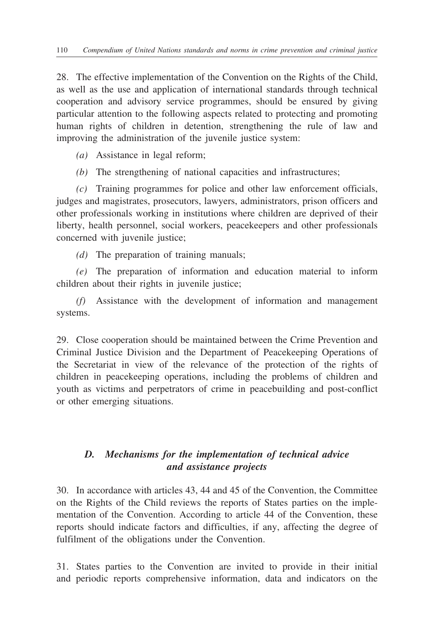28. The effective implementation of the Convention on the Rights of the Child, as well as the use and application of international standards through technical cooperation and advisory service programmes, should be ensured by giving particular attention to the following aspects related to protecting and promoting human rights of children in detention, strengthening the rule of law and improving the administration of the juvenile justice system:

*(a)* Assistance in legal reform;

*(b)* The strengthening of national capacities and infrastructures;

*(c)* Training programmes for police and other law enforcement officials, judges and magistrates, prosecutors, lawyers, administrators, prison officers and other professionals working in institutions where children are deprived of their liberty, health personnel, social workers, peacekeepers and other professionals concerned with juvenile justice;

*(d)* The preparation of training manuals;

*(e)* The preparation of information and education material to inform children about their rights in juvenile justice;

*(f)* Assistance with the development of information and management systems.

29. Close cooperation should be maintained between the Crime Prevention and Criminal Justice Division and the Department of Peacekeeping Operations of the Secretariat in view of the relevance of the protection of the rights of children in peacekeeping operations, including the problems of children and youth as victims and perpetrators of crime in peacebuilding and post-conflict or other emerging situations.

# *D. Mechanisms for the implementation of technical advice and assistance projects*

30. In accordance with articles 43, 44 and 45 of the Convention, the Committee on the Rights of the Child reviews the reports of States parties on the implementation of the Convention. According to article 44 of the Convention, these reports should indicate factors and difficulties, if any, affecting the degree of fulfilment of the obligations under the Convention.

31. States parties to the Convention are invited to provide in their initial and periodic reports comprehensive information, data and indicators on the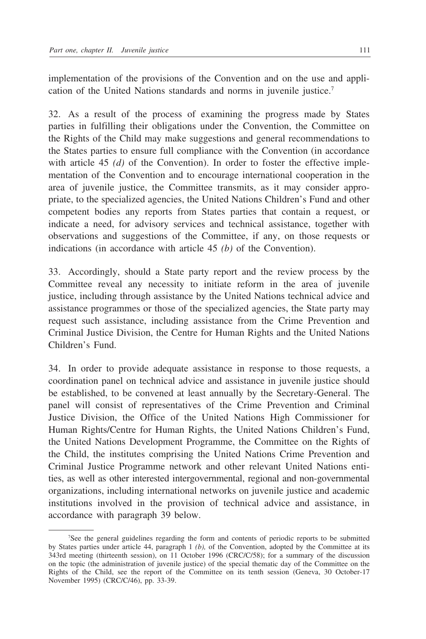implementation of the provisions of the Convention and on the use and application of the United Nations standards and norms in juvenile justice.7

32. As a result of the process of examining the progress made by States parties in fulfilling their obligations under the Convention, the Committee on the Rights of the Child may make suggestions and general recommendations to the States parties to ensure full compliance with the Convention (in accordance with article 45  $(d)$  of the Convention). In order to foster the effective implementation of the Convention and to encourage international cooperation in the area of juvenile justice, the Committee transmits, as it may consider appropriate, to the specialized agencies, the United Nations Children's Fund and other competent bodies any reports from States parties that contain a request, or indicate a need, for advisory services and technical assistance, together with observations and suggestions of the Committee, if any, on those requests or indications (in accordance with article 45 *(b)* of the Convention).

33. Accordingly, should a State party report and the review process by the Committee reveal any necessity to initiate reform in the area of juvenile justice, including through assistance by the United Nations technical advice and assistance programmes or those of the specialized agencies, the State party may request such assistance, including assistance from the Crime Prevention and Criminal Justice Division, the Centre for Human Rights and the United Nations Children's Fund.

34. In order to provide adequate assistance in response to those requests, a coordination panel on technical advice and assistance in juvenile justice should be established, to be convened at least annually by the Secretary-General. The panel will consist of representatives of the Crime Prevention and Criminal Justice Division, the Office of the United Nations High Commissioner for Human Rights/Centre for Human Rights, the United Nations Children's Fund, the United Nations Development Programme, the Committee on the Rights of the Child, the institutes comprising the United Nations Crime Prevention and Criminal Justice Programme network and other relevant United Nations entities, as well as other interested intergovernmental, regional and non-governmental organizations, including international networks on juvenile justice and academic institutions involved in the provision of technical advice and assistance, in accordance with paragraph 39 below.

<sup>7</sup> See the general guidelines regarding the form and contents of periodic reports to be submitted by States parties under article 44, paragraph 1 *(b),* of the Convention, adopted by the Committee at its 343rd meeting (thirteenth session), on 11 October 1996 (CRC/C/58); for a summary of the discussion on the topic (the administration of juvenile justice) of the special thematic day of the Committee on the Rights of the Child, see the report of the Committee on its tenth session (Geneva, 30 October-17 November 1995) (CRC/C/46), pp. 33-39.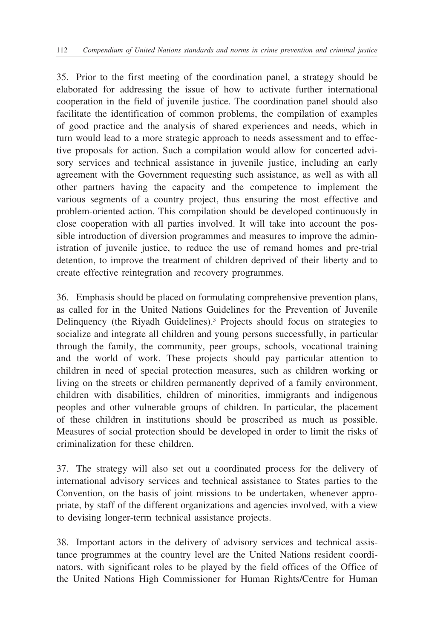35. Prior to the first meeting of the coordination panel, a strategy should be elaborated for addressing the issue of how to activate further international cooperation in the field of juvenile justice. The coordination panel should also facilitate the identification of common problems, the compilation of examples of good practice and the analysis of shared experiences and needs, which in turn would lead to a more strategic approach to needs assessment and to effective proposals for action. Such a compilation would allow for concerted advisory services and technical assistance in juvenile justice, including an early agreement with the Government requesting such assistance, as well as with all other partners having the capacity and the competence to implement the various segments of a country project, thus ensuring the most effective and problem-oriented action. This compilation should be developed continuously in close cooperation with all parties involved. It will take into account the possible introduction of diversion programmes and measures to improve the administration of juvenile justice, to reduce the use of remand homes and pre-trial detention, to improve the treatment of children deprived of their liberty and to create effective reintegration and recovery programmes.

36. Emphasis should be placed on formulating comprehensive prevention plans, as called for in the United Nations Guidelines for the Prevention of Juvenile Delinquency (the Riyadh Guidelines).3 Projects should focus on strategies to socialize and integrate all children and young persons successfully, in particular through the family, the community, peer groups, schools, vocational training and the world of work. These projects should pay particular attention to children in need of special protection measures, such as children working or living on the streets or children permanently deprived of a family environment, children with disabilities, children of minorities, immigrants and indigenous peoples and other vulnerable groups of children. In particular, the placement of these children in institutions should be proscribed as much as possible. Measures of social protection should be developed in order to limit the risks of criminalization for these children.

37. The strategy will also set out a coordinated process for the delivery of international advisory services and technical assistance to States parties to the Convention, on the basis of joint missions to be undertaken, whenever appropriate, by staff of the different organizations and agencies involved, with a view to devising longer-term technical assistance projects.

38. Important actors in the delivery of advisory services and technical assistance programmes at the country level are the United Nations resident coordinators, with significant roles to be played by the field offices of the Office of the United Nations High Commissioner for Human Rights/Centre for Human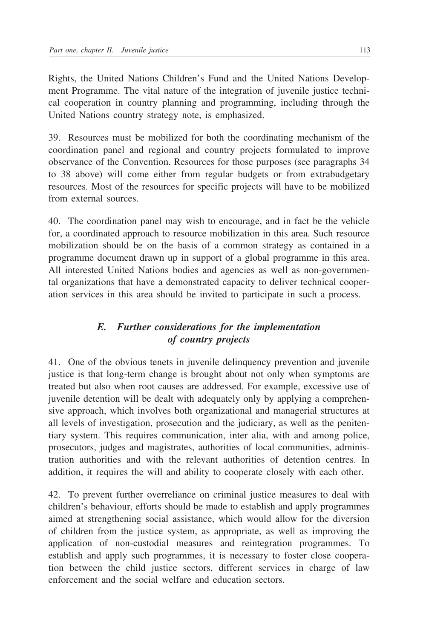Rights, the United Nations Children's Fund and the United Nations Development Programme. The vital nature of the integration of juvenile justice technical cooperation in country planning and programming, including through the United Nations country strategy note, is emphasized.

39. Resources must be mobilized for both the coordinating mechanism of the coordination panel and regional and country projects formulated to improve observance of the Convention. Resources for those purposes (see paragraphs 34 to 38 above) will come either from regular budgets or from extrabudgetary resources. Most of the resources for specific projects will have to be mobilized from external sources.

40. The coordination panel may wish to encourage, and in fact be the vehicle for, a coordinated approach to resource mobilization in this area. Such resource mobilization should be on the basis of a common strategy as contained in a programme document drawn up in support of a global programme in this area. All interested United Nations bodies and agencies as well as non-governmental organizations that have a demonstrated capacity to deliver technical cooperation services in this area should be invited to participate in such a process.

# *E. Further considerations for the implementation of country projects*

41. One of the obvious tenets in juvenile delinquency prevention and juvenile justice is that long-term change is brought about not only when symptoms are treated but also when root causes are addressed. For example, excessive use of juvenile detention will be dealt with adequately only by applying a comprehensive approach, which involves both organizational and managerial structures at all levels of investigation, prosecution and the judiciary, as well as the penitentiary system. This requires communication, inter alia, with and among police, prosecutors, judges and magistrates, authorities of local communities, administration authorities and with the relevant authorities of detention centres. In addition, it requires the will and ability to cooperate closely with each other.

42. To prevent further overreliance on criminal justice measures to deal with children's behaviour, efforts should be made to establish and apply programmes aimed at strengthening social assistance, which would allow for the diversion of children from the justice system, as appropriate, as well as improving the application of non-custodial measures and reintegration programmes. To establish and apply such programmes, it is necessary to foster close cooperation between the child justice sectors, different services in charge of law enforcement and the social welfare and education sectors.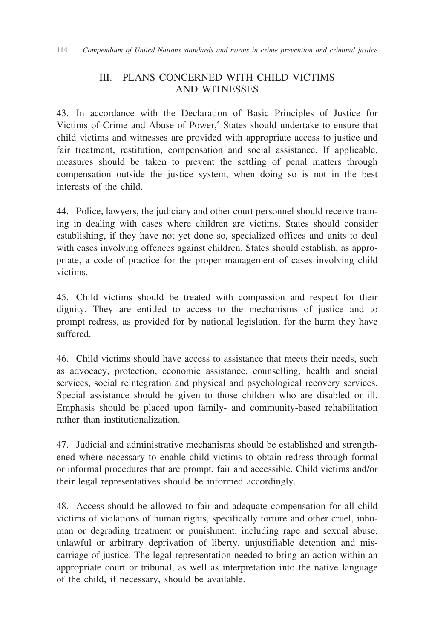# III. PLANS CONCERNED WITH CHILD VICTIMS AND WITNESSES

43. In accordance with the Declaration of Basic Principles of Justice for Victims of Crime and Abuse of Power,<sup>5</sup> States should undertake to ensure that child victims and witnesses are provided with appropriate access to justice and fair treatment, restitution, compensation and social assistance. If applicable, measures should be taken to prevent the settling of penal matters through compensation outside the justice system, when doing so is not in the best interests of the child.

44. Police, lawyers, the judiciary and other court personnel should receive training in dealing with cases where children are victims. States should consider establishing, if they have not yet done so, specialized offices and units to deal with cases involving offences against children. States should establish, as appropriate, a code of practice for the proper management of cases involving child victims.

45. Child victims should be treated with compassion and respect for their dignity. They are entitled to access to the mechanisms of justice and to prompt redress, as provided for by national legislation, for the harm they have suffered.

46. Child victims should have access to assistance that meets their needs, such as advocacy, protection, economic assistance, counselling, health and social services, social reintegration and physical and psychological recovery services. Special assistance should be given to those children who are disabled or ill. Emphasis should be placed upon family- and community-based rehabilitation rather than institutionalization.

47. Judicial and administrative mechanisms should be established and strengthened where necessary to enable child victims to obtain redress through formal or informal procedures that are prompt, fair and accessible. Child victims and/or their legal representatives should be informed accordingly.

48. Access should be allowed to fair and adequate compensation for all child victims of violations of human rights, specifically torture and other cruel, inhuman or degrading treatment or punishment, including rape and sexual abuse, unlawful or arbitrary deprivation of liberty, unjustifiable detention and miscarriage of justice. The legal representation needed to bring an action within an appropriate court or tribunal, as well as interpretation into the native language of the child, if necessary, should be available.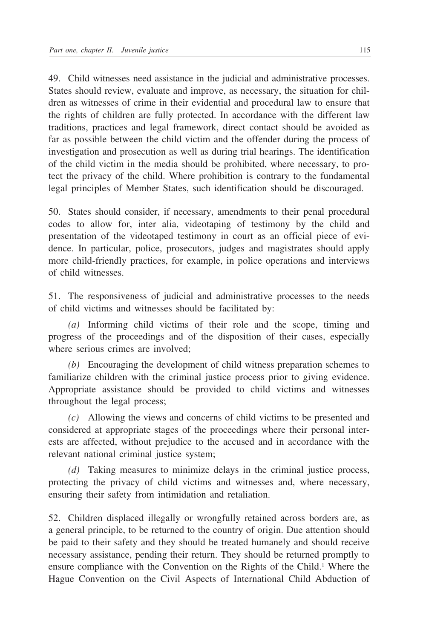49. Child witnesses need assistance in the judicial and administrative processes. States should review, evaluate and improve, as necessary, the situation for children as witnesses of crime in their evidential and procedural law to ensure that the rights of children are fully protected. In accordance with the different law traditions, practices and legal framework, direct contact should be avoided as far as possible between the child victim and the offender during the process of investigation and prosecution as well as during trial hearings. The identification of the child victim in the media should be prohibited, where necessary, to protect the privacy of the child. Where prohibition is contrary to the fundamental legal principles of Member States, such identification should be discouraged.

50. States should consider, if necessary, amendments to their penal procedural codes to allow for, inter alia, videotaping of testimony by the child and presentation of the videotaped testimony in court as an official piece of evidence. In particular, police, prosecutors, judges and magistrates should apply more child-friendly practices, for example, in police operations and interviews of child witnesses.

51. The responsiveness of judicial and administrative processes to the needs of child victims and witnesses should be facilitated by:

*(a)* Informing child victims of their role and the scope, timing and progress of the proceedings and of the disposition of their cases, especially where serious crimes are involved;

*(b)* Encouraging the development of child witness preparation schemes to familiarize children with the criminal justice process prior to giving evidence. Appropriate assistance should be provided to child victims and witnesses throughout the legal process;

*(c)* Allowing the views and concerns of child victims to be presented and considered at appropriate stages of the proceedings where their personal interests are affected, without prejudice to the accused and in accordance with the relevant national criminal justice system;

*(d)* Taking measures to minimize delays in the criminal justice process, protecting the privacy of child victims and witnesses and, where necessary, ensuring their safety from intimidation and retaliation.

52. Children displaced illegally or wrongfully retained across borders are, as a general principle, to be returned to the country of origin. Due attention should be paid to their safety and they should be treated humanely and should receive necessary assistance, pending their return. They should be returned promptly to ensure compliance with the Convention on the Rights of the Child.<sup>1</sup> Where the Hague Convention on the Civil Aspects of International Child Abduction of